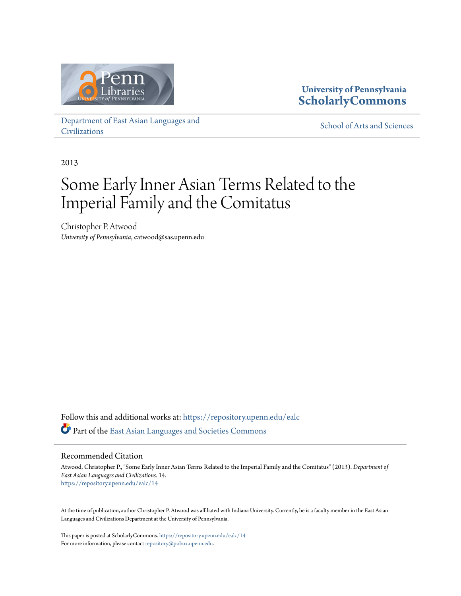

**University of Pennsylvania [ScholarlyCommons](https://repository.upenn.edu?utm_source=repository.upenn.edu%2Fealc%2F14&utm_medium=PDF&utm_campaign=PDFCoverPages)**

[Department of East Asian Languages and](https://repository.upenn.edu/ealc?utm_source=repository.upenn.edu%2Fealc%2F14&utm_medium=PDF&utm_campaign=PDFCoverPages) [Civilizations](https://repository.upenn.edu/ealc?utm_source=repository.upenn.edu%2Fealc%2F14&utm_medium=PDF&utm_campaign=PDFCoverPages)

[School of Arts and Sciences](https://repository.upenn.edu/sas?utm_source=repository.upenn.edu%2Fealc%2F14&utm_medium=PDF&utm_campaign=PDFCoverPages)

2013

# Some Early Inner Asian Terms Related to the Imperial Family and the Comitatus

Christopher P. Atwood *University of Pennsylvania*, catwood@sas.upenn.edu

Follow this and additional works at: [https://repository.upenn.edu/ealc](https://repository.upenn.edu/ealc?utm_source=repository.upenn.edu%2Fealc%2F14&utm_medium=PDF&utm_campaign=PDFCoverPages) Part of the [East Asian Languages and Societies Commons](http://network.bepress.com/hgg/discipline/481?utm_source=repository.upenn.edu%2Fealc%2F14&utm_medium=PDF&utm_campaign=PDFCoverPages)

## Recommended Citation

Atwood, Christopher P., "Some Early Inner Asian Terms Related to the Imperial Family and the Comitatus" (2013). *Department of East Asian Languages and Civilizations*. 14. [https://repository.upenn.edu/ealc/14](https://repository.upenn.edu/ealc/14?utm_source=repository.upenn.edu%2Fealc%2F14&utm_medium=PDF&utm_campaign=PDFCoverPages)

At the time of publication, author Christopher P. Atwood was affiliated with Indiana University. Currently, he is a faculty member in the East Asian Languages and Civilizations Department at the University of Pennsylvania.

This paper is posted at ScholarlyCommons. <https://repository.upenn.edu/ealc/14> For more information, please contact [repository@pobox.upenn.edu.](mailto:repository@pobox.upenn.edu)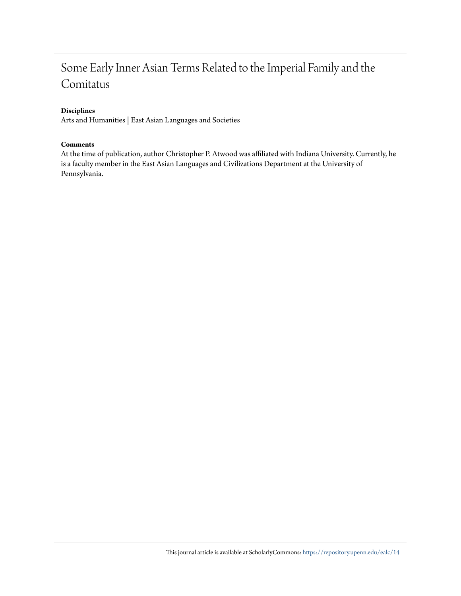## Some Early Inner Asian Terms Related to the Imperial Family and the Comitatus

## **Disciplines**

Arts and Humanities | East Asian Languages and Societies

### **Comments**

At the time of publication, author Christopher P. Atwood was affiliated with Indiana University. Currently, he is a faculty member in the East Asian Languages and Civilizations Department at the University of Pennsylvania.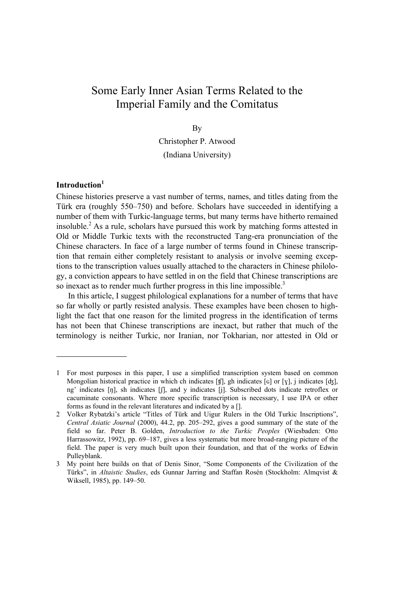## Some Early Inner Asian Terms Related to the Imperial Family and the Comitatus

By

Christopher P. Atwood (Indiana University)

## **Introduction1**

Chinese histories preserve a vast number of terms, names, and titles dating from the Türk era (roughly 550–750) and before. Scholars have succeeded in identifying a number of them with Turkic-language terms, but many terms have hitherto remained insoluble.2 As a rule, scholars have pursued this work by matching forms attested in Old or Middle Turkic texts with the reconstructed Tang-era pronunciation of the Chinese characters. In face of a large number of terms found in Chinese transcription that remain either completely resistant to analysis or involve seeming exceptions to the transcription values usually attached to the characters in Chinese philology, a conviction appears to have settled in on the field that Chinese transcriptions are so inexact as to render much further progress in this line impossible.<sup>3</sup>

In this article, I suggest philological explanations for a number of terms that have so far wholly or partly resisted analysis. These examples have been chosen to highlight the fact that one reason for the limited progress in the identification of terms has not been that Chinese transcriptions are inexact, but rather that much of the terminology is neither Turkic, nor Iranian, nor Tokharian, nor attested in Old or

<sup>1</sup> For most purposes in this paper, I use a simplified transcription system based on common Mongolian historical practice in which ch indicates [ $f$ ], gh indicates [ $G$ ] or [ $\gamma$ ], j indicates [ $d\zeta$ ], ng' indicates [ŋ], sh indicates [ʃ], and y indicates [j]. Subscribed dots indicate retroflex or cacuminate consonants. Where more specific transcription is necessary, I use IPA or other forms as found in the relevant literatures and indicated by a [].

<sup>2</sup> Volker Rybatzki's article "Titles of Türk and Uigur Rulers in the Old Turkic Inscriptions", *Central Asiatic Journal* (2000), 44.2, pp. 205–292, gives a good summary of the state of the field so far. Peter B. Golden, *Introduction to the Turkic Peoples* (Wiesbaden: Otto Harrassowitz, 1992), pp. 69–187, gives a less systematic but more broad-ranging picture of the field. The paper is very much built upon their foundation, and that of the works of Edwin Pulleyblank.

<sup>3</sup> My point here builds on that of Denis Sinor, "Some Components of the Civilization of the Türks", in *Altaistic Studies*, eds Gunnar Jarring and Staffan Rosén (Stockholm: Almqvist & Wiksell, 1985), pp. 149–50.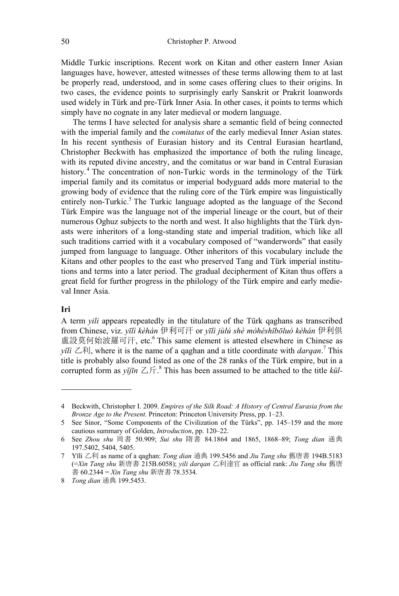Middle Turkic inscriptions. Recent work on Kitan and other eastern Inner Asian languages have, however, attested witnesses of these terms allowing them to at last be properly read, understood, and in some cases offering clues to their origins. In two cases, the evidence points to surprisingly early Sanskrit or Prakrit loanwords used widely in Türk and pre-Türk Inner Asia. In other cases, it points to terms which simply have no cognate in any later medieval or modern language.

The terms I have selected for analysis share a semantic field of being connected with the imperial family and the *comitatus* of the early medieval Inner Asian states. In his recent synthesis of Eurasian history and its Central Eurasian heartland, Christopher Beckwith has emphasized the importance of both the ruling lineage, with its reputed divine ancestry, and the comitatus or war band in Central Eurasian history.<sup>4</sup> The concentration of non-Turkic words in the terminology of the Türk imperial family and its comitatus or imperial bodyguard adds more material to the growing body of evidence that the ruling core of the Türk empire was linguistically entirely non-Turkic.<sup>5</sup> The Turkic language adopted as the language of the Second Türk Empire was the language not of the imperial lineage or the court, but of their numerous Oghuz subjects to the north and west. It also highlights that the Türk dynasts were inheritors of a long-standing state and imperial tradition, which like all such traditions carried with it a vocabulary composed of "wanderwords" that easily jumped from language to language. Other inheritors of this vocabulary include the Kitans and other peoples to the east who preserved Tang and Türk imperial institutions and terms into a later period. The gradual decipherment of Kitan thus offers a great field for further progress in the philology of the Türk empire and early medieval Inner Asia.

#### **Iri**

A term *yili* appears repeatedly in the titulature of the Türk qaghans as transcribed from Chinese, viz. *yīlì kèhán* 伊利可汗 or *yīlì jùlú shè mòhéshĭbōluó kèhán* 伊利俱 盧設莫何始波羅可汗, etc.<sup>6</sup> This same element is attested elsewhere in Chinese as *yĭlì* 乙利, where it is the name of a qaghan and a title coordinate with *darqan*. 7 This title is probably also found listed as one of the 28 ranks of the Türk empire, but in a corrupted form as *yij* $\overline{I}$ *n*  $\overline{C}$   $\overline{F}$ .<sup>8</sup> This has been assumed to be attached to the title *kül*-

<sup>4</sup> Beckwith, Christopher I. 2009. *Empires of the Silk Road: A History of Central Eurasia from the Bronze Age to the Present*. Princeton: Princeton University Press, pp. 1–23.

<sup>5</sup> See Sinor, "Some Components of the Civilization of the Türks", pp. 145–159 and the more cautious summary of Golden, *Introduction*, pp. 120–22.

<sup>6</sup> See *Zhou shu* 周書 50.909; *Sui shu* 隋書 84.1864 and 1865, 1868–89; *Tong dian* 通典 197.5402, 5404, 5405.

<sup>7</sup>Yĭlì 乙利 as name of a qaghan: *Tong dian* 通典 199.5456 and *Jiu Tang shu* 舊唐書 194B.5183 (=*Xin Tang shu* 新唐書 215B.6058); *yili darqan* 乙利達官 as official rank: *Jiu Tang shu* 舊唐 書 60.2344 = *Xin Tang shu* 新唐書 78.3534.

<sup>8</sup> *Tong dian* 通典 199.5453.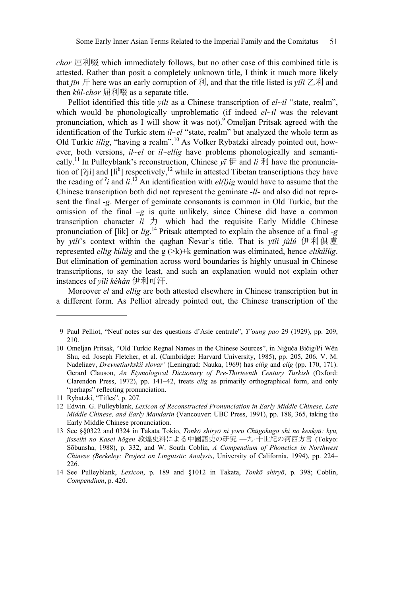*chor* 屈利啜 which immediately follows, but no other case of this combined title is attested. Rather than posit a completely unknown title, I think it much more likely that *jīn* 斤 here was an early corruption of 利, and that the title listed is *vili* 乙利 and then *kül-chor* 屈利啜 as a separate title.

Pelliot identified this title *yili* as a Chinese transcription of  $el$ <sup>-il</sup> "state, realm", which would be phonologically unproblematic (if indeed  $el$ <sup>-il</sup> was the relevant pronunciation, which as I will show it was not).<sup>9</sup> Omeljan Pritsak agreed with the identification of the Turkic stem *il~el* "state, realm" but analyzed the whole term as Old Turkic *illig*, "having a realm".<sup>10</sup> As Volker Rybatzki already pointed out, however, both versions, *il~el* or *il~ellig* have problems phonologically and semantically.<sup>11</sup> In Pulleyblank's reconstruction, Chinese  $\nu\bar{\tau}$   $\not\!\!\!\!/$  and *li*  $\not\!\!\!\!/$  have the pronunciation of [?ji] and  $[\text{li}^h]$  respectively,<sup>12</sup> while in attested Tibetan transcriptions they have the reading of  $\hat{i}$  and  $\hat{i}$ .<sup>13</sup> An identification with  $el(l)$ ig would have to assume that the Chinese transcription both did not represent the geminate *-ll-* and also did not represent the final *-g*. Merger of geminate consonants is common in Old Turkic, but the omission of the final  $-g$  is quite unlikely, since Chinese did have a common transcription character  $li \nvert \nvert$  which had the requisite Early Middle Chinese pronunciation of [lik] or *lig*. 14 Pritsak attempted to explain the absence of a final -*g* by *yili*'s context within the qaghan Ñevar's title. That is *yīlì jùlú* 伊利俱盧 represented *ellig külüg* and the g (>k)+k gemination was eliminated, hence *elikülüg*. But elimination of gemination across word boundaries is highly unusual in Chinese transcriptions, to say the least, and such an explanation would not explain other instances of *yīlì kèhán* 伊利可汗.

Moreover *el* and *ellig* are both attested elsewhere in Chinese transcription but in a different form. As Pelliot already pointed out, the Chinese transcription of the

 <sup>9</sup> Paul Pelliot, "Neuf notes sur des questions d'Asie centrale", *T'oung pao* 29 (1929), pp. 209, 210.

<sup>10</sup> Omeljan Pritsak, "Old Turkic Regnal Names in the Chinese Sources", in Niġuča Bičig/Pi Wên Shu, ed. Joseph Fletcher, et al. (Cambridge: Harvard University, 1985), pp. 205, 206. V. M. Nadeliaev, *Drevnetiurkskii slovar'* (Leningrad: Nauka, 1969) has *ellig* and *elig* (pp. 170, 171). Gerard Clauson, *An Etymological Dictionary of Pre-Thirteenth Century Turkish* (Oxford: Clarendon Press, 1972), pp. 141–42, treats *elig* as primarily orthographical form, and only "perhaps" reflecting pronunciation.

<sup>11</sup> Rybatzki, "Titles", p. 207.

<sup>12</sup> Edwin. G. Pulleyblank, *Lexicon of Reconstructed Pronunciation in Early Middle Chinese, Late Middle Chinese, and Early Mandarin* (Vancouver: UBC Press, 1991), pp. 188, 365, taking the Early Middle Chinese pronunciation.

<sup>13</sup> See §§0322 and 0324 in Takata Tokio, *Tonkō shiryō ni yoru Chūgokugo shi no kenkyū: kyu, jisseiki no Kasei hōgen* 敦煌史料による中國語史の研究 —九·十世紀の河西方言 (Tokyo: Sōbunsha, 1988), p. 332, and W. South Coblin, *A Compendium of Phonetics in Northwest Chinese (Berkeley: Project on Linguistic Analysis*, University of California, 1994), pp. 224– 226.

<sup>14</sup> See Pulleyblank, *Lexicon*, p. 189 and §1012 in Takata, *Tonkō shiryō*, p. 398; Coblin, *Compendium*, p. 420.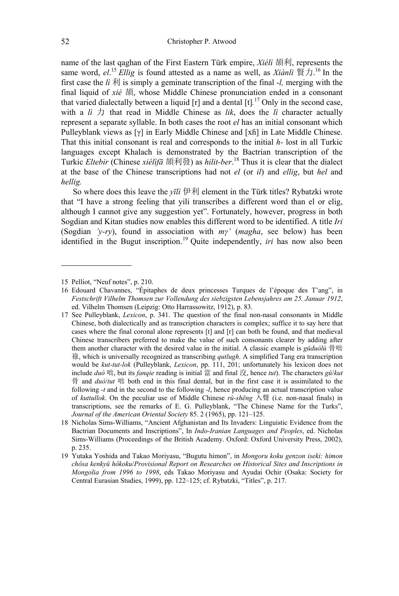name of the last qaghan of the First Eastern Türk empire, *Xiélì* 頡利, represents the same word, *el*. <sup>15</sup> *Ellig* is found attested as a name as well, as *Xiánlì* 賢力. 16 In the first case the *lì* 利 is simply a geminate transcription of the final -*l,* merging with the final liquid of *xié* 頡, whose Middle Chinese pronunciation ended in a consonant that varied dialectally between a liquid [r] and a dental [t]*.* 17 Only in the second case, with a  $li \nightharpoondown j$  that read in Middle Chinese as *lik*, does the *li* character actually represent a separate syllable. In both cases the root *el* has an initial consonant which Pulleyblank views as  $[\gamma]$  in Early Middle Chinese and  $[\overline{x}$ fil in Late Middle Chinese. That this initial consonant is real and corresponds to the initial *h-* lost in all Turkic languages except Khalach is demonstrated by the Bactrian transcription of the Turkic *Eltebir* (Chinese *xiélìfā* 頡利發) as *hilit-ber*. 18 Thus it is clear that the dialect at the base of the Chinese transcriptions had not *el* (or *il*) and *ellig*, but *hel* and *hellig.* 

So where does this leave the *yīlì* 伊利 element in the Türk titles? Rybatzki wrote that "I have a strong feeling that yili transcribes a different word than el or elig, although I cannot give any suggestion yet". Fortunately, however, progress in both Sogdian and Kitan studies now enables this different word to be identified. A title *Iri* (Sogdian *'y-ry*), found in association with *mγ'* (*magha*, see below) has been identified in the Bugut inscription.<sup>19</sup> Quite independently, *iri* has now also been

<sup>15</sup> Pelliot, "Neuf notes", p. 210.

<sup>16</sup> Edouard Chavannes, "Épitaphes de deux princesses Turques de l'époque des T'ang", in *Festschrift Vilhelm Thomsen zur Vollendung des siebzigsten Lebensjahres am 25. Januar 1912*, ed. Vilhelm Thomsen (Leipzig: Otto Harrassowitz, 1912), p. 83.

<sup>17</sup> See Pulleyblank, *Lexicon*, p. 341. The question of the final non-nasal consonants in Middle Chinese, both dialectically and as transcription characters is complex; suffice it to say here that cases where the final coronal alone represents [t] and [r] can both be found, and that medieval Chinese transcribers preferred to make the value of such consonants clearer by adding after them another character with the desired value in the initial. A classic example is *gǔduòlù* 骨咄 祿, which is universally recognized as transcribing *qutlugh*. A simplified Tang era transcription would be *kut-tut-lok* (Pulleyblank, *Lexicon*, pp. 111, 201; unfortunately his lexicon does not include *duò* 咄, but its *fanqie* reading is initial 當 and final 沒, hence *tut*). The characters *gǔ*/*kut* 骨 and *duò*/*tut* 咄 both end in this final dental, but in the first case it is assimilated to the following *-t* and in the second to the following *-l*, hence producing an actual transcription value of *kuttullok*. On the peculiar use of Middle Chinese *rù-shēng* 入聲 (i.e. non-nasal finals) in transcriptions, see the remarks of E. G. Pulleyblank, "The Chinese Name for the Turks", *Journal of the American Oriental Society* 85. 2 (1965), pp. 121–125.

<sup>18</sup> Nicholas Sims-Williams, "Ancient Afghanistan and Its Invaders: Linguistic Evidence from the Bactrian Documents and Inscriptions", In *Indo-Iranian Languages and Peoples*, ed. Nicholas Sims-Williams (Proceedings of the British Academy. Oxford: Oxford University Press, 2002), p. 235.

<sup>19</sup> Yutaka Yoshida and Takao Moriyasu, "Bugutu himon", in *Mongoru koku genzon iseki: himon chôsa kenkyû hôkoku*/*Provisional Report on Researches on Historical Sites and Inscriptions in Mongolia from 1996 to 1998*, eds Takao Moriyasu and Ayudai Ochir (Osaka: Society for Central Eurasian Studies, 1999), pp. 122–125; cf. Rybatzki, "Titles", p. 217.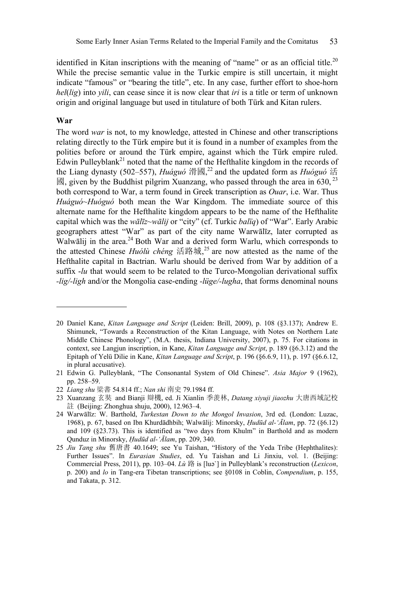identified in Kitan inscriptions with the meaning of "name" or as an official title.<sup>20</sup> While the precise semantic value in the Turkic empire is still uncertain, it might indicate "famous" or "bearing the title", etc. In any case, further effort to shoe-horn *hel*(*lig*) into *yili*, can cease since it is now clear that *iri* is a title or term of unknown origin and original language but used in titulature of both Türk and Kitan rulers.

#### **War**

The word *war* is not, to my knowledge, attested in Chinese and other transcriptions relating directly to the Türk empire but it is found in a number of examples from the polities before or around the Türk empire, against which the Türk empire ruled. Edwin Pulleyblank<sup>21</sup> noted that the name of the Hefthalite kingdom in the records of the Liang dynasty (502–557), *Huáguó* 滑國, 22 and the updated form as *Huóguó* 活  $\mathbb{\overline{B}}$ , given by the Buddhist pilgrim Xuanzang, who passed through the area in 630,  $^{23}$ both correspond to War, a term found in Greek transcription as *Ouar*, i.e. War. Thus *Huáguó*~*Huóguó* both mean the War Kingdom. The immediate source of this alternate name for the Hefthalite kingdom appears to be the name of the Hefthalite capital which was the *wālīz~wālij* or "city" (cf. Turkic *balïq*) of "War". Early Arabic geographers attest "War" as part of the city name Warwālīz, later corrupted as Walwālij in the area.<sup>24</sup> Both War and a derived form Warlu, which corresponds to the attested Chinese *Huólù chéng* 活路城, 25 are now attested as the name of the Hefthalite capital in Bactrian. Warlu should be derived from War by addition of a suffix -*lu* that would seem to be related to the Turco-Mongolian derivational suffix *-lig/-ligh* and/or the Mongolia case-ending *-lüge/-lugha*, that forms denominal nouns

<sup>20</sup> Daniel Kane, *Kitan Language and Script* (Leiden: Brill, 2009), p. 108 (§3.137); Andrew E. Shimunek, "Towards a Reconstruction of the Kitan Language, with Notes on Northern Late Middle Chinese Phonology", (M.A. thesis, Indiana University, 2007), p. 75. For citations in context, see Langjun inscription, in Kane, *Kitan Language and Script*, p. 189 (§6.3.12) and the Epitaph of Yelü Dilie in Kane, *Kitan Language and Script*, p. 196 (§6.6.9, 11), p. 197 (§6.6.12, in plural accusative).

<sup>21</sup> Edwin G. Pulleyblank, "The Consonantal System of Old Chinese". *Asia Major* 9 (1962), pp. 258–59.

<sup>22</sup> *Liang shu* 梁書 54.814 ff.; *Nan shi* 南史 79.1984 ff.

<sup>23</sup> Xuanzang 玄奘 and Bianji 辯機, ed. Ji Xianlin 季羡林, *Datang xiyuji jiaozhu* 大唐西域記校 註 (Beijing: Zhonghua shuju, 2000), 12.963–4.

<sup>24</sup> Warwālīz: W. Barthold, *Turkestan Down to the Mongol Invasion*, 3rd ed. (London: Luzac, 1968), p. 67, based on Ibn Khurdādhbih; Walwālij: Minorsky, *Ḥudūd al-'Ālam*, pp. 72 (§6.12) and 109 (§23.73). This is identified as "two days from Khulm" in Barthold and as modern Qunduz in Minorsky, *Ḥudūd al-'Ālam*, pp. 209, 340.

<sup>25</sup> *Jiu Tang shu* 舊唐書 40.1649; see Yu Taishan, "History of the Yeda Tribe (Hephthalites): Further Issues". In *Eurasian Studies*, ed. Yu Taishan and Li Jinxiu, vol. 1. (Beijing: Commercial Press, 2011), pp. 103–04. *Lù* 路 is [luə`] in Pulleyblank's reconstruction (*Lexicon*, p. 200) and *lo* in Tang-era Tibetan transcriptions; see §0108 in Coblin, *Compendium*, p. 155, and Takata, p. 312.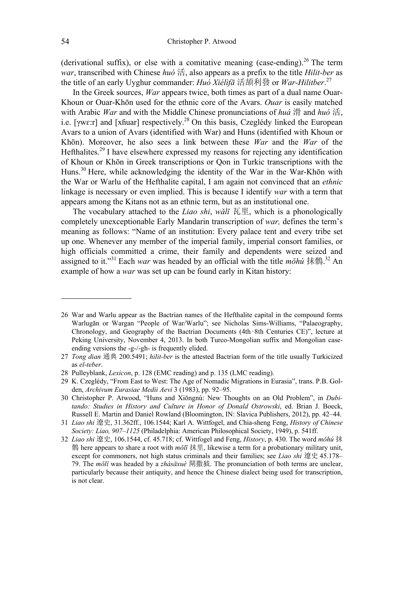(derivational suffix), or else with a comitative meaning (case-ending). <sup>26</sup> The term *war*, transcribed with Chinese *huó* 活, also appears as a prefix to the title *Hilit-ber* as the title of an early Uyghur commander: *Huó Xiélìfā* 活頡利發 or *War-Hilitber*. 27

In the Greek sources, *War* appears twice, both times as part of a dual name Ouar-Khoun or Ouar-Khōn used for the ethnic core of the Avars. *Ouar* is easily matched with Arabic *War* and with the Middle Chinese pronunciations of *huá* 滑 and *huó* 活, i.e. [γwε:r] and [xɦuar] respectively.<sup>28</sup> On this basis, Czeglédy linked the European Avars to a union of Avars (identified with War) and Huns (identified with Khoun or Khōn). Moreover, he also sees a link between these *War* and the *War* of the Hefthalites.<sup>29</sup> I have elsewhere expressed my reasons for rejecting any identification of Khoun or Khōn in Greek transcriptions or Qon in Turkic transcriptions with the Huns.<sup>30</sup> Here, while acknowledging the identity of the War in the War-Khōn with the War or Warlu of the Hefthalite capital, I am again not convinced that an *ethnic* linkage is necessary or even implied. This is because I identify *war* with a term that appears among the Kitans not as an ethnic term, but as an institutional one.

The vocabulary attached to the *Liao shi*, *wălĭ* 瓦里, which is a phonologically completely unexceptionable Early Mandarin transcription of *war,* defines the term's meaning as follows: "Name of an institution: Every palace tent and every tribe set up one. Whenever any member of the imperial family, imperial consort families, or high officials committed a crime, their family and dependents were seized and assigned to it."31 Each *war* was headed by an official with the title *mŏhú* 抹鶻. 32 An example of how a *war* was set up can be found early in Kitan history:

<sup>26</sup> War and Warlu appear as the Bactrian names of the Hefthalite capital in the compound forms Warlugān or Wargan "People of War/Warlu"; see Nicholas Sims-Williams, "Palaeography, Chronology, and Geography of the Bactrian Documents (4th–8th Centuries CE)", lecture at Peking University, November 4, 2013. In both Turco-Mongolian suffix and Mongolian caseending versions the -g-/-gh- is frequently elided.

<sup>27</sup> *Tong dian* 通典 200.5491; *hilit-ber* is the attested Bactrian form of the title usually Turkicized as *el*-*teber*.

<sup>28</sup> Pulleyblank, *Lexicon*, p. 128 (EMC reading) and p. 135 (LMC reading).

<sup>29</sup> K. Czeglédy, "From East to West: The Age of Nomadic Migrations in Eurasia", trans. P.B. Golden, *Archivum Eurasiae Medii Aevi* 3 (1983), pp. 92–95.

<sup>30</sup> Christopher P. Atwood, "Huns and Xiōngnú: New Thoughts on an Old Problem", in *Dubitando: Studies in History and Culture in Honor of Donald Ostrowski*, ed. Brian J. Boeck, Russell E. Martin and Daniel Rowland (Bloomington, IN: Slavica Publishers, 2012), pp. 42–44.

<sup>31</sup> *Liao shi* 遼史, 31.362ff., 106.1544; Karl A. Wittfogel, and Chia-sheng Feng, *History of Chinese Society: Liao, 907–1125* (Philadelphia: American Philosophical Society, 1949), p. 541ff.

<sup>32</sup> *Liao shi* 遼史, 106.1544, cf. 45.718; cf. Wittfogel and Feng, *History*, p. 430. The word *mŏhú* 抹 鶻 here appears to share a root with  $m\delta l$ *i* 抹里, likewise a term for a probationary military unit, except for commoners, not high status criminals and their families; see *Liao shi* 遼史 45.178– 79. The *mŏlĭ* was headed by a *zhásāxuè* 閘撒狘. The pronunciation of both terms are unclear, particularly because their antiquity, and hence the Chinese dialect being used for transcription, is not clear.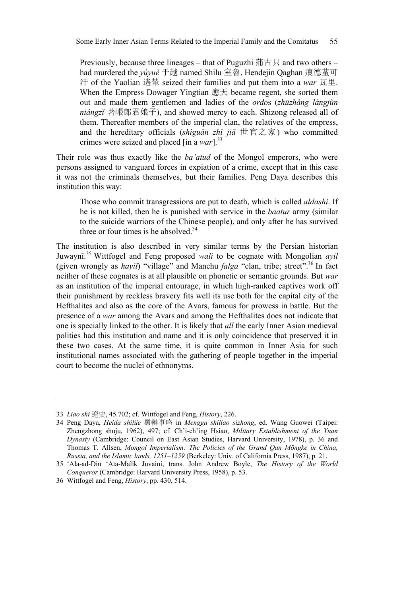Previously, because three lineages – that of Puguzhi 蒲古只 and two others – had murdered the *yúyuè* 于越 named Shilu 室魯, Hendejin Qaghan 痕德蓳可 汗 of the Yaolian 遙輦 seized their families and put them into a *war* 瓦里. When the Empress Dowager Yingtian 應天 became regent, she sorted them out and made them gentlemen and ladies of the *ordo*s (*zhūzhàng lángjùn niángzĭ* 著帳郎君娘子), and showed mercy to each. Shizong released all of them. Thereafter members of the imperial clan, the relatives of the empress, and the hereditary officials (*shìguān zhī jiā* 世官之家) who committed crimes were seized and placed [in a *war*].33

Their role was thus exactly like the *ba'atud* of the Mongol emperors, who were persons assigned to vanguard forces in expiation of a crime, except that in this case it was not the criminals themselves, but their families. Peng Daya describes this institution this way:

Those who commit transgressions are put to death, which is called *aldashi*. If he is not killed, then he is punished with service in the *baatur* army (similar to the suicide warriors of the Chinese people), and only after he has survived three or four times is he absolved. $34$ 

The institution is also described in very similar terms by the Persian historian Juwaynī. 35 Wittfogel and Feng proposed *wali* to be cognate with Mongolian *ayil* (given wrongly as *hayil*) "village" and Manchu *falga* "clan, tribe; street".36 In fact neither of these cognates is at all plausible on phonetic or semantic grounds. But *war* as an institution of the imperial entourage, in which high-ranked captives work off their punishment by reckless bravery fits well its use both for the capital city of the Hefthalites and also as the core of the Avars, famous for prowess in battle. But the presence of a *war* among the Avars and among the Hefthalites does not indicate that one is specially linked to the other. It is likely that *all* the early Inner Asian medieval polities had this institution and name and it is only coincidence that preserved it in these two cases. At the same time, it is quite common in Inner Asia for such institutional names associated with the gathering of people together in the imperial court to become the nuclei of ethnonyms.

<sup>33</sup> *Liao shi* 遼史, 45.702; cf. Wittfogel and Feng, *History*, 226.

<sup>34</sup> Peng Daya, *Heida shilüe* 黑韃事略 in *Menggu shiliao sizhong*, ed. Wang Guowei (Taipei: Zhengzhong shuju, 1962), 497; cf. Ch'i-ch'ing Hsiao, *Military Establishment of the Yuan Dynasty* (Cambridge: Council on East Asian Studies, Harvard University, 1978), p. 36 and Thomas T. Allsen, *Mongol Imperialism: The Policies of the Grand Qan Möngke in China, Russia, and the Islamic lands, 1251–1259* (Berkeley: Univ. of California Press, 1987), p. 21.

<sup>35 &#</sup>x27;Ala-ad-Din 'Ata-Malik Juvaini, trans. John Andrew Boyle, *The History of the World Conqueror* (Cambridge: Harvard University Press, 1958), p. 53.

<sup>36</sup> Wittfogel and Feng, *History*, pp. 430, 514.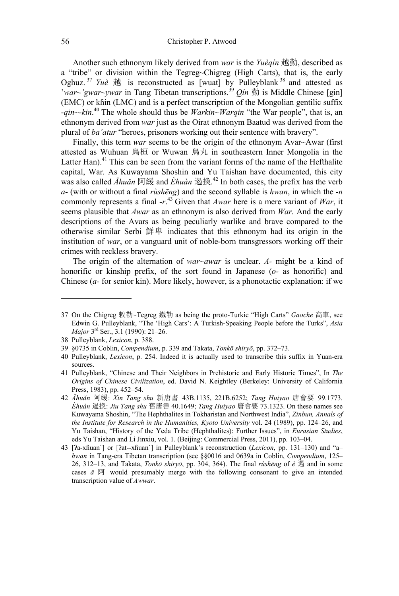Another such ethnonym likely derived from *war* is the *Yuèqín* 越勤, described as a "tribe" or division within the Tegreg~Chigreg (High Carts), that is, the early Oghuz.<sup>37</sup> *Yuè* 越 is reconstructed as [wuat] by Pulleyblank<sup>38</sup> and attested as '*war~'gwar~ywar* in Tang Tibetan transcriptions.<sup>39</sup> *Qín* 勤 is Middle Chinese [gɨn] (EMC) or kɦin (LMC) and is a perfect transcription of the Mongolian gentilic suffix -*qin*~-*kin*. 40 The whole should thus be *Warkin~Warqin* "the War people", that is, an ethnonym derived from *war* just as the Oirat ethnonym Baatud was derived from the plural of *ba'atur* "heroes, prisoners working out their sentence with bravery".

Finally, this term *war* seems to be the origin of the ethnonym Avar~Awar (first attested as Wuhuan 烏桓 or Wuwan 烏丸 in southeastern Inner Mongolia in the Latter Han).<sup>41</sup> This can be seen from the variant forms of the name of the Hefthalite capital, War. As Kuwayama Shoshin and Yu Taishan have documented, this city was also called *Āhuǎn* 阿緩 and *Èhuàn* 遏換. 42 In both cases, the prefix has the verb *a-* (with or without a final *rùshēng*) and the second syllable is *hwan*, in which the -*n*  commonly represents a final -*r*. 43 Given that *Awar* here is a mere variant of *War*, it seems plausible that *Awar* as an ethnonym is also derived from *War.* And the early descriptions of the Avars as being peculiarly warlike and brave compared to the otherwise similar Serbi 鮮卑 indicates that this ethnonym had its origin in the institution of *war*, or a vanguard unit of noble-born transgressors working off their crimes with reckless bravery.

The origin of the alternation of *war~awar* is unclear. *A-* might be a kind of honorific or kinship prefix, of the sort found in Japanese (*o-* as honorific) and Chinese (*a-* for senior kin). More likely, however, is a phonotactic explanation: if we

<sup>37</sup> On the Chigreg 敕勒~Tegreg 鐵勒 as being the proto-Turkic "High Carts" *Gaoche* 高車, see Edwin G. Pulleyblank, "The 'High Cars': A Turkish-Speaking People before the Turks", *Asia Major*  $3^{rd}$  Ser., 3.1 (1990): 21–26.

<sup>38</sup> Pulleyblank, *Lexicon*, p. 388.

<sup>39 §0735</sup> in Coblin, *Compendium*, p. 339 and Takata, *Tonkō shiryō*, pp. 372–73.

<sup>40</sup> Pulleyblank, *Lexicon*, p. 254. Indeed it is actually used to transcribe this suffix in Yuan-era sources.

<sup>41</sup> Pulleyblank, "Chinese and Their Neighbors in Prehistoric and Early Historic Times", In *The Origins of Chinese Civilization*, ed. David N. Keightley (Berkeley: University of California Press, 1983), pp. 452–54.

<sup>42</sup> *Āhuǎn* 阿緩: *Xin Tang shu* 新唐書 43B.1135, 221B.6252; *Tang Huiyao* 唐會要 99.1773. *Èhuàn* 遏換: *Jiu Tang shu* 舊唐書 40.1649; *Tang Huiyao* 唐會要 73.1323. On these names see Kuwayama Shoshin, "The Hephthalites in Tokharistan and Northwest India", *Zinbun, Annals of the Institute for Research in the Humanities, Kyoto University* vol. 24 (1989), pp. 124–26, and Yu Taishan, "History of the Yeda Tribe (Hephthalites): Further Issues", in *Eurasian Studies*, eds Yu Taishan and Li Jinxiu, vol. 1. (Beijing: Commercial Press, 2011), pp. 103–04.

<sup>43 [</sup>ʔa-xɦuan`] or [ʔat--xɦuan`] in Pulleyblank's reconstruction (*Lexicon*, pp. 131–130) and "a*– hwan* in Tang-era Tibetan transcription (see §§0016 and 0639a in Coblin, *Compendium*, 125– 26, 312–13, and Takata, *Tonkō shiryō*, pp. 304, 364). The final *rùshēng* of *è* 遏 and in some cases  $\bar{a}$   $\overline{p}$  would presumably merge with the following consonant to give an intended transcription value of *Awwar*.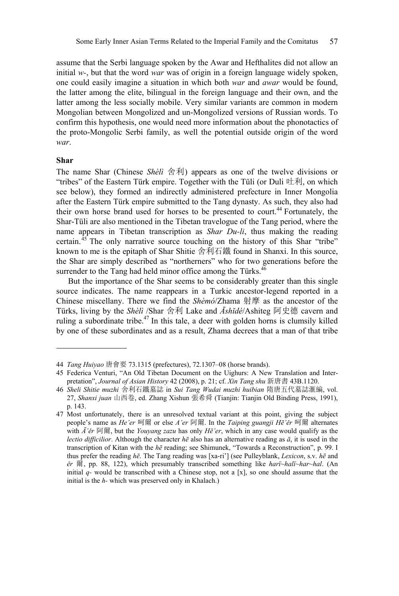assume that the Serbi language spoken by the Awar and Hefthalites did not allow an initial *w-*, but that the word *war* was of origin in a foreign language widely spoken, one could easily imagine a situation in which both *war* and *awar* would be found, the latter among the elite, bilingual in the foreign language and their own, and the latter among the less socially mobile. Very similar variants are common in modern Mongolian between Mongolized and un-Mongolized versions of Russian words. To confirm this hypothesis, one would need more information about the phonotactics of the proto-Mongolic Serbi family, as well the potential outside origin of the word *war*.

#### **Shar**

The name Shar (Chinese *Shèlì* 舍利) appears as one of the twelve divisions or "tribes" of the Eastern Türk empire. Together with the Tüli (or Duli 吐利, on which see below), they formed an indirectly administered prefecture in Inner Mongolia after the Eastern Türk empire submitted to the Tang dynasty. As such, they also had their own horse brand used for horses to be presented to court.<sup>44</sup> Fortunately, the Shar-Tüli are also mentioned in the Tibetan travelogue of the Tang period, where the name appears in Tibetan transcription as *Shar Du-li*, thus making the reading certain.45 The only narrative source touching on the history of this Shar "tribe" known to me is the epitaph of Shar Shitie 舍利石鐵 found in Shanxi. In this source, the Shar are simply described as "northerners" who for two generations before the surrender to the Tang had held minor office among the Türks.<sup>46</sup>

But the importance of the Shar seems to be considerably greater than this single source indicates. The name reappears in a Turkic ancestor-legend reported in a Chinese miscellany. There we find the *Shèmó*/Zhama 射摩 as the ancestor of the Türks, living by the *Shèlì* /Shar 舍利 Lake and *Āshĭdé*/Ashiteg 阿史德 cavern and ruling a subordinate tribe.<sup>47</sup> In this tale, a deer with golden horns is clumsily killed by one of these subordinates and as a result, Zhama decrees that a man of that tribe

<sup>44</sup> *Tang Huiyao* 唐會要 73.1315 (prefectures), 72.1307–08 (horse brands).

<sup>45</sup> Federica Venturi, "An Old Tibetan Document on the Uighurs: A New Translation and Interpretation", *Journal of Asian History* 42 (2008), p. 21; cf. *Xin Tang shu* 新唐書 43B.1120.

<sup>46</sup> *Sheli Shitie muzhi* 舍利石鐵墓誌 in *Sui Tang Wudai muzhi huibian* 隋唐五代墓誌滙編, vol. 27, *Shanxi juan* 山西卷, ed. Zhang Xishun 張希舜 (Tianjin: Tianjin Old Binding Press, 1991), p. 143.

<sup>47</sup> Most unfortunately, there is an unresolved textual variant at this point, giving the subject people's name as *He'er* 呵爾 or else *A'er* 阿爾. In the *Taiping guangji Hē'ěr* 呵爾 alternates with  $\bar{A}$ 'ě $\tilde{r}$   $\tilde{p}$   $\tilde{p}$   $\tilde{p}$ , but the *Youyang zazu* has only  $H\bar{e}$ 'er, which in any case would qualify as the *lectio difficilior*. Although the character *hē* also has an alternative reading as *ā*, it is used in the transcription of Kitan with the *hē* reading; see Shimunek, "Towards a Reconstruction", p. 99. I thus prefer the reading *hē*. The Tang reading was [xa-ri'] (see Pulleyblank, *Lexicon*, s.v. *hē* and *ěr* 爾, pp. 88, 122), which presumably transcribed something like *harï~halï~har~hal*. (An initial *q-* would be transcribed with a Chinese stop, not a [x], so one should assume that the initial is the *h-* which was preserved only in Khalach.)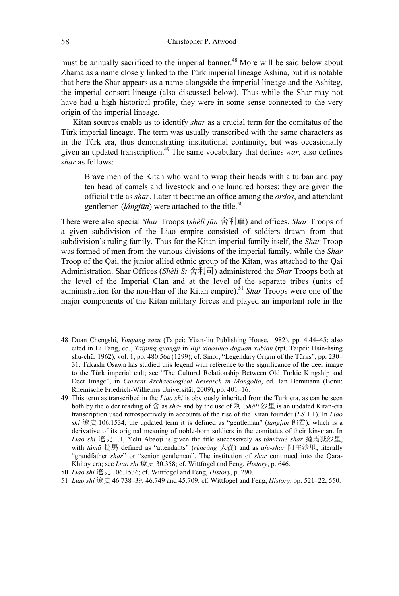must be annually sacrificed to the imperial banner.<sup>48</sup> More will be said below about Zhama as a name closely linked to the Türk imperial lineage Ashina, but it is notable that here the Shar appears as a name alongside the imperial lineage and the Ashiteg, the imperial consort lineage (also discussed below). Thus while the Shar may not have had a high historical profile, they were in some sense connected to the very origin of the imperial lineage.

Kitan sources enable us to identify *shar* as a crucial term for the comitatus of the Türk imperial lineage. The term was usually transcribed with the same characters as in the Türk era, thus demonstrating institutional continuity, but was occasionally given an updated transcription.<sup>49</sup> The same vocabulary that defines *war*, also defines *shar* as follows:

Brave men of the Kitan who want to wrap their heads with a turban and pay ten head of camels and livestock and one hundred horses; they are given the official title as *shar*. Later it became an office among the *ordos*, and attendant gentlemen (*lángjūn*) were attached to the title.50

There were also special *Shar* Troops (*shèlì jūn* 舍利軍) and offices. *Shar* Troops of a given subdivision of the Liao empire consisted of soldiers drawn from that subdivision's ruling family. Thus for the Kitan imperial family itself, the *Shar* Troop was formed of men from the various divisions of the imperial family, while the *Shar*  Troop of the Qai, the junior allied ethnic group of the Kitan, was attached to the Qai Administration. Shar Offices (*Shèlì Sī* 舍利司) administered the *Shar* Troops both at the level of the Imperial Clan and at the level of the separate tribes (units of administration for the non-Han of the Kitan empire).<sup>51</sup> *Shar* Troops were one of the major components of the Kitan military forces and played an important role in the

<sup>48</sup> Duan Chengshi, *Youyang zazu* (Taipei: Yüan-liu Publishing House, 1982), pp. 4.44–45; also cited in Li Fang, ed., *Taiping guangji* in *Biji xiaoshuo daguan xubian* (rpt. Taipei: Hsin-hsing shu-chü, 1962), vol. 1, pp. 480.56a (1299); cf. Sinor, "Legendary Origin of the Türks", pp. 230– 31. Takashi Osawa has studied this legend with reference to the significance of the deer image to the Türk imperial cult; see "The Cultural Relationship Between Old Turkic Kingship and Deer Image", in *Current Archaeological Research in Mongolia*, ed. Jan Bemmann (Bonn: Rheinische Friedrich-Wilhelms Universität, 2009), pp. 401–16.

<sup>49</sup> This term as transcribed in the *Liao shi* is obviously inherited from the Turk era, as can be seen both by the older reading of 舍 as *sha*- and by the use of 利. *Shālĭ* 沙里 is an updated Kitan-era transcription used retrospectively in accounts of the rise of the Kitan founder (*LS* 1.1). In *Liao shi* 遼史 106.1534, the updated term it is defined as "gentleman" (*langjun* 郎君), which is a derivative of its original meaning of noble-born soldiers in the comitatus of their kinsman. In *Liao shi* 遼史 1.1, Yelü Abaoji is given the title successively as *tàmăxuè shar* 撻馬狘沙里, with *tàmă* 撻馬 defined as "attendants" (*réncóng* 人從) and as *aju-shar* 阿主沙里, literally "grandfather *shar*" or "senior gentleman". The institution of *shar* continued into the Qara-Khitay era; see *Liao shi* 遼史 30.358; cf. Wittfogel and Feng, *History*, p. 646.

<sup>50</sup> *Liao shi* 遼史 106.1536; cf. Wittfogel and Feng, *History*, p. 290.

<sup>51</sup> *Liao shi* 遼史 46.738–39, 46.749 and 45.709; cf. Wittfogel and Feng, *History*, pp. 521–22, 550.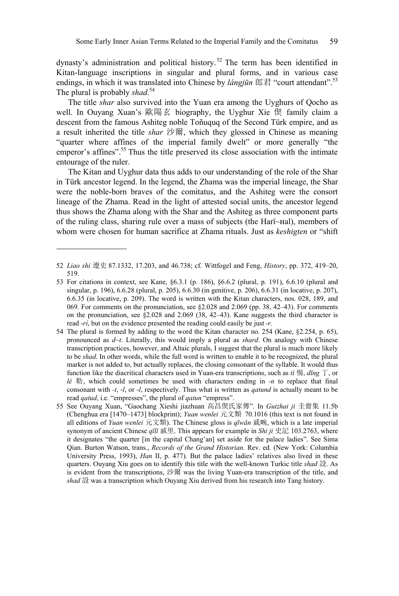dynasty's administration and political history.<sup>52</sup> The term has been identified in Kitan-language inscriptions in singular and plural forms, and in various case endings, in which it was translated into Chinese by *lángjūn* 郎君 "court attendant".<sup>53</sup> The plural is probably *shad*. 54

The title *shar* also survived into the Yuan era among the Uyghurs of Qocho as well. In Ouyang Xuan's 歐陽玄 biography, the Uyghur Xie 偰 family claim a descent from the famous Ashiteg noble Toñuquq of the Second Türk empire, and as a result inherited the title *shar* 沙爾, which they glossed in Chinese as meaning "quarter where affines of the imperial family dwelt" or more generally "the emperor's affines".<sup>55</sup> Thus the title preserved its close association with the intimate entourage of the ruler.

The Kitan and Uyghur data thus adds to our understanding of the role of the Shar in Türk ancestor legend. In the legend, the Zhama was the imperial lineage, the Shar were the noble-born braves of the comitatus, and the Ashiteg were the consort lineage of the Zhama. Read in the light of attested social units, the ancestor legend thus shows the Zhama along with the Shar and the Ashiteg as three component parts of the ruling class, sharing rule over a mass of subjects (the Harï~нal), members of whom were chosen for human sacrifice at Zhama rituals. Just as *keshigten* or "shift

<sup>52</sup> *Liao shi* 遼史 87.1332, 17.203, and 46.738; cf. Wittfogel and Feng, *History*, pp. 372, 419–20, 519.

<sup>53</sup> For citations in context, see Kane, §6.3.1 (p. 186), §6.6.2 (plural, p. 191), 6.6.10 (plural and singular, p. 196), 6.6.28 (plural, p. 205), 6.6.30 (in genitive, p. 206), 6.6.31 (in locative, p. 207), 6.6.35 (in locative, p. 209). The word is written with the Kitan characters, nos. 028, 189, and 069. For comments on the pronunciation, see §2.028 and 2.069 (pp. 38, 42–43). For comments on the pronunciation, see  $\S2.028$  and  $2.069$  (38, 42–43). Kane suggests the third character is read -*rí*, but on the evidence presented the reading could easily be just *-r.*

<sup>54</sup> The plural is formed by adding to the word the Kitan character no. 254 (Kane, §2.254, p. 65), pronounced as *d~t*. Literally, this would imply a plural as *shard*. On analogy with Chinese transcription practices, however, and Altaic plurals, I suggest that the plural is much more likely to be *shad*. In other words, while the full word is written to enable it to be recognized, the plural marker is not added to, but actually replaces, the closing consonant of the syllable. It would thus function like the diacritical characters used in Yuan-era transcriptions, such as *tì* 惕, *dīng* 丁, or *lè* 勒, which could sometimes be used with characters ending in *-n* to replace that final consonant with *-t*, -*l*, or -*l*, respectively. Thus what is written as *qatund* is actually meant to be read *qatud*, i.e. "empresses", the plural of *qatun* "empress".

<sup>55</sup> See Ouyang Xuan, "Gaochang Xieshi jiazhuan 高昌偰氏家傳". In *Guizhai ji* 圭齋集 11.5b (Chenghua era [1470–1473] blockprint); *Yuan wenlei* 元文類 70.1016 (this text is not found in all editions of *Yuan wenlei* 元文類). The Chinese gloss is *qīwǎn* 戚畹, which is a late imperial synonym of ancient Chinese *qīlǐ* 戚里. This appears for example in *Shi ji* 史記 103.2763, where it designates "the quarter [in the capital Chang'an] set aside for the palace ladies". See Sima Qian. Burton Watson, trans., *Records of the Grand Historian.* Rev. ed. (New York: Columbia University Press, 1993), *Han* II, p. 477). But the palace ladies' relatives also lived in these quarters. Ouyang Xiu goes on to identify this title with the well-known Turkic title *shad* 設. As is evident from the transcriptions, 沙爾 was the living Yuan-era transcription of the title, and *shad* 設 was a transcription which Ouyang Xiu derived from his research into Tang history.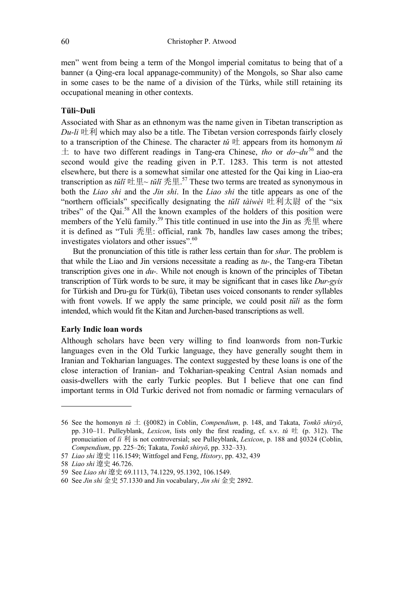men" went from being a term of the Mongol imperial comitatus to being that of a banner (a Qing-era local appanage-community) of the Mongols, so Shar also came in some cases to be the name of a division of the Türks, while still retaining its occupational meaning in other contexts.

#### **Tüli~Duli**

Associated with Shar as an ethnonym was the name given in Tibetan transcription as  $Du$ -li 吐利 which may also be a title. The Tibetan version corresponds fairly closely to a transcription of the Chinese. The character  $t\tilde{u} \nightharpoonup \tilde{u}$  appears from its homonym  $t\tilde{u}$  $\pm$  to have two different readings in Tang-era Chinese, *tho* or  $d\sigma \sim du^{56}$  and the second would give the reading given in P.T. 1283. This term is not attested elsewhere, but there is a somewhat similar one attested for the Qai king in Liao-era transcription as *tŭlĭ* 吐里~ *tŭlĭ* 秃里. 57 These two terms are treated as synonymous in both the *Liao shi* and the *Jin shi*. In the *Liao shi* the title appears as one of the "northern officials" specifically designating the *tŭlĭ tàiwèi* 吐利太尉 of the "six tribes" of the Qai.58 All the known examples of the holders of this position were members of the Yelü family.<sup>59</sup> This title continued in use into the Jin as 秃里 where it is defined as "Tuli 秃里: official, rank 7b, handles law cases among the tribes; investigates violators and other issues". $60$ 

But the pronunciation of this title is rather less certain than for *shar*. The problem is that while the Liao and Jin versions necessitate a reading as *tu-*, the Tang-era Tibetan transcription gives one in *du-.* While not enough is known of the principles of Tibetan transcription of Türk words to be sure, it may be significant that in cases like *Dur-gyis*  for Türkish and Dru-gu for Türk(ü), Tibetan uses voiced consonants to render syllables with front vowels. If we apply the same principle, we could posit *tüli* as the form intended, which would fit the Kitan and Jurchen-based transcriptions as well.

#### **Early Indic loan words**

Although scholars have been very willing to find loanwords from non-Turkic languages even in the Old Turkic language, they have generally sought them in Iranian and Tokharian languages. The context suggested by these loans is one of the close interaction of Iranian- and Tokharian-speaking Central Asian nomads and oasis-dwellers with the early Turkic peoples. But I believe that one can find important terms in Old Turkic derived not from nomadic or farming vernaculars of

<sup>56</sup> See the homonyn *t* $\check{u} \pm (\S{0082})$  in Coblin, *Compendium*, p. 148, and Takata, *Tonkō shiryō*, pp. 310–11. Pulleyblank, *Lexicon*, lists only the first reading, cf. s.v. *tǔ* 吐 (p. 312). The pronuciation of *lì* 利 is not controversial; see Pulleyblank, *Lexicon*, p. 188 and §0324 (Coblin, *Compendium*, pp. 225–26; Takata, *Tonkō shiryō*, pp. 332–33).

<sup>57</sup> *Liao shi* 遼史 116.1549; Wittfogel and Feng, *History*, pp. 432, 439

<sup>58</sup> *Liao shi* 遼史 46.726.

<sup>59</sup> See *Liao shi* 遼史 69.1113, 74.1229, 95.1392, 106.1549.

<sup>60</sup> See *Jin shi* 金史 57.1330 and Jin vocabulary, *Jin shi* 金史 2892.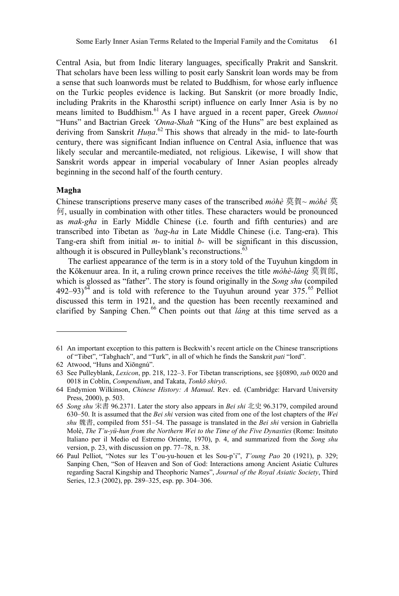Central Asia, but from Indic literary languages, specifically Prakrit and Sanskrit. That scholars have been less willing to posit early Sanskrit loan words may be from a sense that such loanwords must be related to Buddhism, for whose early influence on the Turkic peoples evidence is lacking. But Sanskrit (or more broadly Indic, including Prakrits in the Kharosthi script) influence on early Inner Asia is by no means limited to Buddhism.<sup>61</sup> As I have argued in a recent paper, Greek *Ounnoi* "Huns" and Bactrian Greek *'Onna-Shah* "King of the Huns" are best explained as deriving from Sanskrit *Huṇa*. 62 This shows that already in the mid- to late-fourth century, there was significant Indian influence on Central Asia, influence that was likely secular and mercantile-mediated, not religious. Likewise, I will show that Sanskrit words appear in imperial vocabulary of Inner Asian peoples already beginning in the second half of the fourth century.

#### **Magha**

Chinese transcriptions preserve many cases of the transcribed *mòhè* 莫賀~ *mòhé* 莫 何, usually in combination with other titles. These characters would be pronounced as *mak-gha* in Early Middle Chinese (i.e. fourth and fifth centuries) and are transcribed into Tibetan as *'bag-ha* in Late Middle Chinese (i.e. Tang-era). This Tang-era shift from initial *m-* to initial *b-* will be significant in this discussion, although it is obscured in Pulleyblank's reconstructions.<sup>63</sup>

The earliest appearance of the term is in a story told of the Tuyuhun kingdom in the Kökenuur area. In it, a ruling crown prince receives the title *mòhè-láng* 莫賀郎, which is glossed as "father". The story is found originally in the *Song shu* (compiled  $492-93$ <sup>64</sup> and is told with reference to the Tuyuhun around year 375.<sup>65</sup> Pelliot discussed this term in 1921, and the question has been recently reexamined and clarified by Sanping Chen.<sup>66</sup> Chen points out that *láng* at this time served as a

<sup>61</sup> An important exception to this pattern is Beckwith's recent article on the Chinese transcriptions of "Tibet", "Tabghach", and "Turk", in all of which he finds the Sanskrit *pati* "lord".

<sup>62</sup> Atwood, "Huns and Xiōngnú".

<sup>63</sup> See Pulleyblank, *Lexicon*, pp. 218, 122–3. For Tibetan transcriptions, see §§0890, *sub* 0020 and 0018 in Coblin, *Compendium*, and Takata, *Tonkō shiryō*.

<sup>64</sup> Endymion Wilkinson, *Chinese History: A Manual*. Rev. ed. (Cambridge: Harvard University Press, 2000), p. 503.

<sup>65</sup> *Song shu* 宋書 96.2371. Later the story also appears in *Bei shi* 北史 96.3179, compiled around 630–50. It is assumed that the *Bei shi* version was cited from one of the lost chapters of the *Wei shu* 魏書, compiled from 551–54. The passage is translated in the *Bei shi* version in Gabriella Molè, *The T'u-yü-hun from the Northern Wei to the Time of the Five Dynasties* (Rome: Insituto Italiano per il Medio ed Estremo Oriente, 1970), p. 4, and summarized from the *Song shu* version, p. 23, with discussion on pp. 77–78, n. 38.

<sup>66</sup> Paul Pelliot, "Notes sur les T'ou-yu-houen et les Sou-p'i", *T'oung Pao* 20 (1921), p. 329; Sanping Chen, "Son of Heaven and Son of God: Interactions among Ancient Asiatic Cultures regarding Sacral Kingship and Theophoric Names", *Journal of the Royal Asiatic Society*, Third Series, 12.3 (2002), pp. 289–325, esp. pp. 304–306.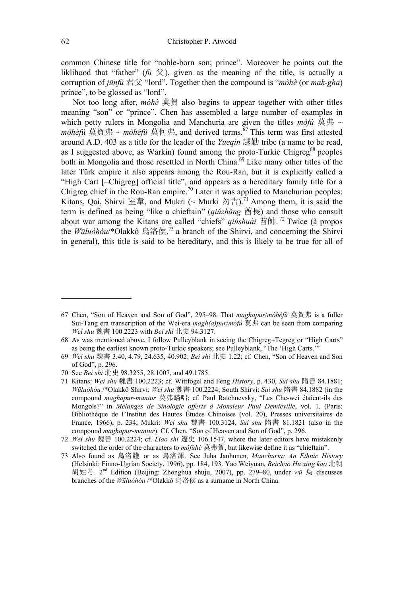common Chinese title for "noble-born son; prince". Moreover he points out the liklihood that "father" ( $\hat{f}$ u  $\hat{\times}$ ), given as the meaning of the title, is actually a corruption of *jūnfù* 君父 "lord". Together then the compound is "*mòhè* (or *mak-gha*) prince", to be glossed as "lord".

Not too long after, *mòhè* 莫賀 also begins to appear together with other titles meaning "son" or "prince". Chen has assembled a large number of examples in which petty rulers in Mongolia and Manchuria are given the titles *mòfú* 莫弗 ~ *mòhèfú* 莫賀弗 ~ *mòhéfú* 莫何弗, and derived terms.67 This term was first attested around A.D. 403 as a title for the leader of the *Yueqin* 越勤 tribe (a name to be read, as I suggested above, as Warkin) found among the proto-Turkic Chigreg<sup>68</sup> peoples both in Mongolia and those resettled in North China.<sup>69</sup> Like many other titles of the later Türk empire it also appears among the Rou-Ran, but it is explicitly called a "High Cart [=Chigreg] official title", and appears as a hereditary family title for a Chigreg chief in the Rou-Ran empire.<sup>70</sup> Later it was applied to Manchurian peoples: Kitans, Qai, Shirvi 室韋, and Mukri (~ Murki 勿吉).<sup>71</sup> Among them, it is said the term is defined as being "like a chieftain" (*qiúzhăng* 酋長) and those who consult about war among the Kitans are called "chiefs" *qiúshuài* 酋帥.<sup>72</sup> Twice (à propos the *Wūluòhóu*/\*Olakkô 烏洛侯, 73 a branch of the Shirvi, and concerning the Shirvi in general), this title is said to be hereditary, and this is likely to be true for all of

<sup>67</sup> Chen, "Son of Heaven and Son of God", 295–98. That *maghapur*/*mòhèfú* 莫賀弗 is a fuller Sui-Tang era transcription of the Wei-era *magh(a)pur*/*mòfú* 莫弗 can be seen from comparing *Wei shu* 魏書 100.2223 with *Bei shi* 北史 94.3127.

<sup>68</sup> As was mentioned above, I follow Pulleyblank in seeing the Chigreg~Tegreg or "High Carts" as being the earliest known proto-Turkic speakers; see Pulleyblank, "The 'High Carts.'"

<sup>69</sup> *Wei shu* 魏書 3.40, 4.79, 24.635, 40.902; *Bei shi* 北史 1.22; cf. Chen, "Son of Heaven and Son of God", p. 296.

<sup>70</sup> See *Bei shi* 北史 98.3255, 28.1007, and 49.1785.

<sup>71</sup> Kitans: *Wei shu* 魏書 100.2223; cf. Wittfogel and Feng *History*, p. 430, *Sui shu* 隋書 84.1881; *Wūluòhóu* /\*Olakkô Shirvi: *Wei shu* 魏書 100.2224; South Shirvi: *Sui shu* 隋書 84.1882 (in the compound *maghapur*-*mantur* 莫弗瞞咄; cf. Paul Ratchnevsky, "Les Che-wei étaient-ils des Mongols?" in *Mélanges de Sinologie offerts à Monsieur Paul Demiéville*, vol. 1. (Paris: Bibliothèque de I'Institut des Hautes Études Chinoises (vol. 20), Presses universitaires de France, 1966), p. 234; Mukri: *Wei shu* 魏書 100.3124, *Sui shu* 隋書 81.1821 (also in the compound *maghapur*-*mantur*). Cf. Chen, "Son of Heaven and Son of God", p. 296.

<sup>72</sup> *Wei shu* 魏書 100.2224; cf. *Liao shi* 遼史 106.1547, where the later editors have mistakenly switched the order of the characters to *mòfúhé* 莫弗賀, but likewise define it as "chieftain".

<sup>73</sup> Also found as 烏洛護 or as 烏洛渾. See Juha Janhunen, *Manchuria: An Ethnic History* (Helsinki: Finno-Ugrian Society, 1996), pp. 184, 193. Yao Weiyuan, *Beichao Hu xing kao* 北朝 胡姓考. 2nd Edition (Beijing: Zhonghua shuju, 2007), pp. 279–80, under *wū* 烏 discusses branches of the *Wūluòhóu* /\*Olakkô 烏洛侯 as a surname in North China.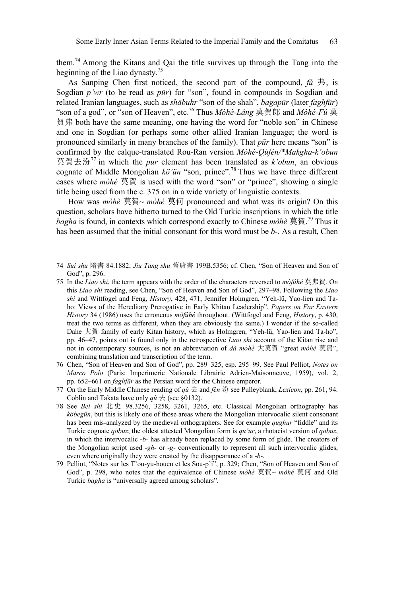them.74 Among the Kitans and Qai the title survives up through the Tang into the beginning of the Liao dynasty.<sup>75</sup>

As Sanping Chen first noticed, the second part of the compound, *fú* 弗, is Sogdian *p'wr* (to be read as *pūr*) for "son", found in compounds in Sogdian and related Iranian languages, such as *shābuhr* "son of the shah", *bagapūr* (later *faghfūr*) "son of a god", or "son of Heaven", etc.76 Thus *Mòhè-Láng* 莫賀郎 and *Mòhè-Fú* 莫 賀弗 both have the same meaning, one having the word for "noble son" in Chinese and one in Sogdian (or perhaps some other allied Iranian language; the word is pronounced similarly in many branches of the family). That *pūr* here means "son" is confirmed by the calque-translated Rou-Ran version *Mòhè*-*Qùfén/\*Makgha*-*k'obun* 莫賀去汾77 in which the *pur* element has been translated as *k'obun*, an obvious cognate of Middle Mongolian *kö'ün* "son, prince".78 Thus we have three different cases where *mòhè* 莫賀 is used with the word "son" or "prince", showing a single title being used from the c. 375 on in a wide variety of linguistic contexts.

How was *mòhè* 莫賀*~ mòhé* 莫何 pronounced and what was its origin? On this question, scholars have hitherto turned to the Old Turkic inscriptions in which the title *bagha* is found, in contexts which correspond exactly to Chinese *mòhè* 莫賀. 79 Thus it has been assumed that the initial consonant for this word must be *b-*. As a result, Chen

<sup>74</sup> *Sui shu* 隋書 84.1882; *Jiu Tang shu* 舊唐書 199B.5356; cf. Chen, "Son of Heaven and Son of God", p. 296.

<sup>75</sup> In the *Liao shi*, the term appears with the order of the characters reversed to *mòfúhé* 莫弗賀. On this *Liao shi* reading, see Chen, "Son of Heaven and Son of God", 297–98. Following the *Liao shi* and Wittfogel and Feng, *History*, 428, 471, Jennifer Holmgren, "Yeh-lü, Yao-lien and Taho: Views of the Hereditary Prerogative in Early Khitan Leadership", *Papers on Far Eastern History* 34 (1986) uses the erroneous *mòfúhé* throughout. (Wittfogel and Feng, *History*, p. 430, treat the two terms as different, when they are obviously the same.) I wonder if the so-called Dahe 大賀 family of early Kitan history, which as Holmgren, "Yeh-lü, Yao-lien and Ta-ho", pp. 46–47, points out is found only in the retrospective *Liao shi* account of the Kitan rise and not in contemporary sources, is not an abbreviation of *dà mòhè* 大莫賀 "great *mòhè* 莫賀", combining translation and transcription of the term.

<sup>76</sup> Chen, "Son of Heaven and Son of God", pp. 289–325, esp. 295–99. See Paul Pelliot, *Notes on Marco Polo* (Paris: Imperimerie Nationale Librairie Adrien-Maisonneuve, 1959), vol. 2, pp. 652–661 on *faghfūr* as the Persian word for the Chinese emperor.

<sup>77</sup> On the Early Middle Chinese reading of *qù* 去 and *fén* 汾 see Pulleyblank, *Lexicon*, pp. 261, 94. Coblin and Takata have only  $q\dot{u} \pm$  (see §0132).

<sup>78</sup> See *Bei shi* 北史 98.3256, 3258, 3261, 3265, etc. Classical Mongolian orthography has *köbegün*, but this is likely one of those areas where the Mongolian intervocalic silent consonant has been mis-analyzed by the medieval orthographers. See for example *qughur* "fiddle" and its Turkic cognate *qobuz*; the oldest attested Mongolian form is *qu'ur*, a rhotacist version of *qobuz*, in which the intervocalic -*b-* has already been replaced by some form of glide. The creators of the Mongolian script used *-gh-* or *-g*- conventionally to represent all such intervocalic glides, even where originally they were created by the disappearance of a -*b*-.

<sup>79</sup> Pelliot, "Notes sur les T'ou-yu-houen et les Sou-p'i", p. 329; Chen, "Son of Heaven and Son of God", p. 298, who notes that the equivalence of Chinese *mòhè* 莫賀*~ mòhé* 莫何 and Old Turkic *bagha* is "universally agreed among scholars".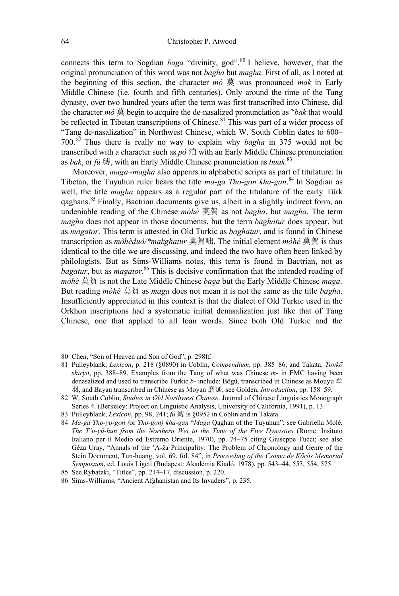connects this term to Sogdian *baga* "divinity, god".80 I believe, however, that the original pronunciation of this word was not *bagha* but *magha*. First of all, as I noted at the beginning of this section, the character *mò* 莫 was pronounced *mak* in Early Middle Chinese (i.e. fourth and fifth centuries). Only around the time of the Tang dynasty, over two hundred years after the term was first transcribed into Chinese, did the character *mò* 莫 begin to acquire the de-nasalized pronunciation as *mbak* that would be reflected in Tibetan transcriptions of Chinese.<sup>81</sup> This was part of a wider process of "Tang de-nasalization" in Northwest Chinese, which W. South Coblin dates to 600– 700. 82 Thus there is really no way to explain why *bagha* in 375 would not be transcribed with a character such as  $p\delta$   $\hat{p}$  with an Early Middle Chinese pronunciation as *bak*, or *fú* 縛, with an Early Middle Chinese pronunciation as *buak*. 83

Moreover, *maga*~*magha* also appears in alphabetic scripts as part of titulature. In Tibetan, the Tuyuhun ruler bears the title *ma-ga Tho-gon kha-gan*. 84 In Sogdian as well, the title *magha* appears as a regular part of the titulature of the early Türk qaghans.85 Finally, Bactrian documents give us, albeit in a slightly indirect form, an undeniable reading of the Chinese *mòhè* 莫賀 as not *bagha*, but *magha*. The term *magha* does not appear in those documents, but the term *baghatur* does appear, but as *magator*. This term is attested in Old Turkic as *baghatur*, and is found in Chinese transcription as *mòhèduò/\*makghatur* 莫賀咄. The initial element *mòhè* 莫賀 is thus identical to the title we are discussing, and indeed the two have often been linked by philologists. But as Sims-Williams notes, this term is found in Bactrian, not as bagatur, but as *magator*.<sup>86</sup> This is decisive confirmation that the intended reading of *mòhè* 莫賀 is not the Late Middle Chinese *baga* but the Early Middle Chinese *maga*. But reading *mòhè* 莫賀 as *maga* does not mean it is not the same as the title *bagha*. Insufficiently appreciated in this context is that the dialect of Old Turkic used in the Orkhon inscriptions had a systematic initial denasalization just like that of Tang Chinese, one that applied to all loan words. Since both Old Turkic and the

<sup>80</sup> Chen, "Son of Heaven and Son of God", p. 298ff.

<sup>81</sup> Pulleyblank, *Lexicon*, p. 218 (§0890) in Coblin, *Compendium*, pp. 385–86, and Takata, *Tonkō shiryō*, pp. 388–89. Examples from the Tang of what was Chinese *m*- in EMC having been denasalized and used to transcribe Turkic *b*- include: Bögü, transcribed in Chinese as Mouvu 牟 羽, and Bayan transcribed in Chinese as Moyan 磨延; see Golden, *Introduction*, pp. 158–59.

<sup>82</sup> W. South Coblin, *Studies in Old Northwest Chinese*. Journal of Chinese Linguistics Monograph Series 4. (Berkeley: Project on Linguistic Analysis, University of California, 1991), p. 13.

<sup>83</sup> Pulleyblank, *Lexicon*, pp. 98, 241; *fú* 縛 is §0952 in Coblin and in Takata.

<sup>84</sup> *Ma-ga Tho-yo-gon (*or *Tho-gon) kha-gan* "*Maga* Qaghan of the Tuyuhun"; see Gabriella Molè, *The T'u-yü-hun from the Northern Wei to the Time of the Five Dynasties* (Rome: Insituto Italiano per il Medio ed Estremo Oriente, 1970), pp. 74–75 citing Giuseppe Tucci; see also Géza Uray, "Annals of the 'A-ža Principality: The Problem of Chronology and Genre of the Stein Document, Tun-huang, vol. 69, fol. 84", in *Proceeding of the Csoma de Kőrös Memorial Symposium*, ed. Louis Ligeti (Budapest: Akadémia Kiadó, 1978), pp. 543–44, 553, 554, 575.

<sup>85</sup> See Rybatzki, "Titles", pp. 214–17, discussion, p. 220.

<sup>86</sup> Sims-Williams, "Ancient Afghanistan and Its Invaders", p. 235.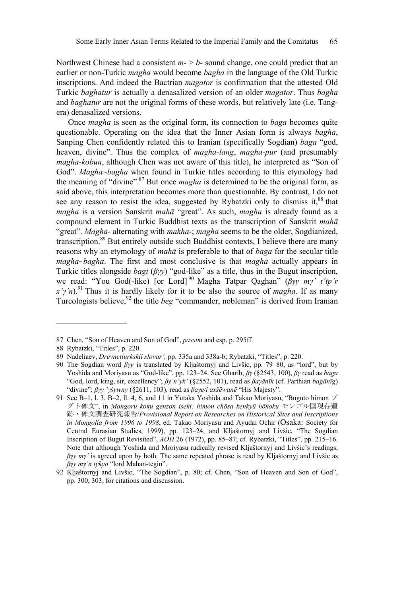Northwest Chinese had a consistent  $m - > b$ - sound change, one could predict that an earlier or non-Turkic *magha* would become *bagha* in the language of the Old Turkic inscriptions. And indeed the Bactrian *magator* is confirmation that the attested Old Turkic *baghatur* is actually a denasalized version of an older *magator*. Thus *bagha*  and *baghatur* are not the original forms of these words, but relatively late (i.e. Tangera) denasalized versions.

Once *magha* is seen as the original form, its connection to *baga* becomes quite questionable. Operating on the idea that the Inner Asian form is always *bagha*, Sanping Chen confidently related this to Iranian (specifically Sogdian) *baga* "god, heaven, divine". Thus the complex of *magha-lang*, *magha-pur* (and presumably *magha-kobun*, although Chen was not aware of this title), he interpreted as "Son of God". *Magha~bagha* when found in Turkic titles according to this etymology had the meaning of "divine".<sup>87</sup> But once *magha* is determined to be the original form, as said above, this interpretation becomes more than questionable. By contrast, I do not see any reason to resist the idea, suggested by Rybatzki only to dismiss it, $88$  that *magha* is a version Sanskrit *mahā* "great". As such, *magha* is already found as a compound element in Turkic Buddhist texts as the transcription of Sanskrit *mahā* "great". *Magha*- alternating with *makha*-; *magha* seems to be the older, Sogdianized, transcription.89 But entirely outside such Buddhist contexts, I believe there are many reasons why an etymology of *mahā* is preferable to that of *baga* for the secular title *magha~bagha*. The first and most conclusive is that *magha* actually appears in Turkic titles alongside *bagi* (*βγy*) "god-like" as a title, thus in the Bugut inscription, we read: "You God(-like) [or Lord] 90 Magha Tatpar Qaghan" (*βγy mγ' t'tp'r*   $\frac{x}{y}$ <sup>n</sup>).<sup>91</sup> Thus it is hardly likely for it to be also the source of *magha*. If as many Turcologists believe,<sup>92</sup> the title *beg* "commander, nobleman" is derived from Iranian

<sup>87</sup> Chen, "Son of Heaven and Son of God", *passim* and esp. p. 295ff.

<sup>88</sup> Rybatzki, "Titles", p. 220.

<sup>89</sup> Nadeliaev, *Drevnetiurkskii slovar',* pp. 335a and 338a-b; Rybatzki, "Titles", p. 220.

<sup>90</sup> The Sogdian word *βγy* is translated by Kljaštornyj and Livšic, pp. 79–80, as "lord", but by Yoshida and Moriyasu as "God-like", pp. 123–24. See Gharib, *βγ* (§2543, 100), *βγ* read as *baga* "God, lord, king, sir, excellency"; *βγ'n'yk'* (§2552, 101), read as *βaγānīk* (cf. Parthian *bagānīg*) "divine"; *βγy 'γšywny* (§2611, 103), read as *βaγe/i axšēwanē* "His Majesty".

<sup>91</sup> See B–1, l. 3, B–2, ll. 4, 6, and 11 in Yutaka Yoshida and Takao Moriyasu, "Buguto himon  $\vec{\mathcal{I}}$ グト碑文", in *Mongoru koku genzon iseki: himon chōsa kenkyū hōkoku* モンゴル国現存遺 跡・碑文調査研究報告/*Provisional Report on Researches on Historical Sites and Inscriptions in Mongolia from 1996 to 1998*, ed. Takao Moriyasu and Ayudai Ochir (Osaka: Society for Central Eurasian Studies, 1999), pp. 123–24, and Kljaštornyj and Livšic, "The Sogdian Inscription of Bugut Revisited", *AOH* 26 (1972), pp. 85–87; cf. Rybatzki, "Titles", pp. 215–16. Note that although Yoshida and Moriyasu radically revised Kljaštornyj and Livšic's readings, *βγy mγ'* is agreed upon by both. The same repeated phrase is read by Kljaštornyj and Livšic as *βγy mγ'n tykyn* "lord Mahan-tegin".

<sup>92</sup> Kljaštornyj and Livšic, "The Sogdian", p. 80; cf. Chen, "Son of Heaven and Son of God", pp. 300, 303, for citations and discussion.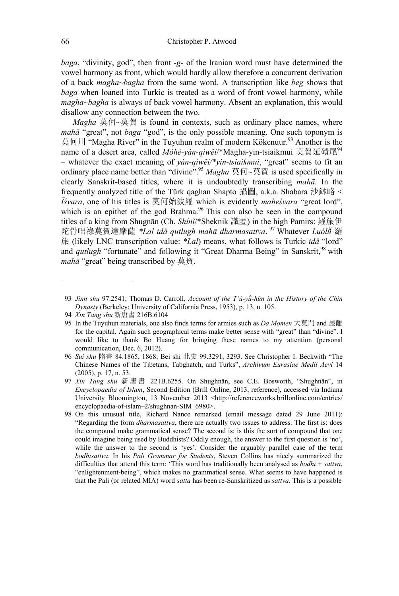*baga*, "divinity, god", then front -*g*- of the Iranian word must have determined the vowel harmony as front, which would hardly allow therefore a concurrent derivation of a back *magha~bagha* from the same word. A transcription like *beg* shows that *baga* when loaned into Turkic is treated as a word of front vowel harmony, while *magha~bagha* is always of back vowel harmony. Absent an explanation, this would disallow any connection between the two.

*Magha* 莫何~莫賀 is found in contexts, such as ordinary place names, where *mahā* "great", not *baga* "god", is the only possible meaning. One such toponym is 莫何川 "Magha River" in the Tuyuhun realm of modern Kökenuur.<sup>93</sup> Another is the name of a desert area, called *Mòhè-yán-qìwĕi*/\*Magha-yin-tsiaikmui 莫賀延磧尾<sup>94</sup> – whatever the exact meaning of *yán-qìwĕi/\*yin-tsiaikmui*, "great" seems to fit an ordinary place name better than "divine".95 *Magha* 莫何~莫賀 is used specifically in clearly Sanskrit-based titles, where it is undoubtedly transcribing *mahā*. In the frequently analyzed title of the Türk qaghan Shapto 攝圖, a.k.a. Shabara 沙鉢略 < *Īśvara*, one of his titles is 莫何始波羅 which is evidently *maheśvara* "great lord", which is an epithet of the god Brahma.<sup>96</sup> This can also be seen in the compound titles of a king from Shugnān (Ch. *Shínì*/\*Sheknik 識匿) in the high Pamirs: 羅旅伊 陀骨咄祿莫賀達摩薩 *\*Lal idä qutlugh mahā dharmasattva*. 97 Whatever *Luólǚ* 羅 旅 (likely LNC transcription value: *\*Lal*) means, what follows is Turkic *idä* "lord" and *qutlugh* "fortunate" and following it "Great Dharma Being" in Sanskrit,<sup>98</sup> with *mahā* "great" being transcribed by 莫賀.

<sup>93</sup> *Jinn shu* 97.2541; Thomas D. Carroll, *Account of the T'ù-yǜ-hún in the History of the Chin Dynasty* (Berkeley: University of California Press, 1953), p. 13, n. 105.

<sup>94</sup> *Xin Tang shu* 新唐書 216B.6104

<sup>95</sup> In the Tuyuhun materials, one also finds terms for armies such as *Da Momen* 大莫門 and 墨離 for the capital. Again such geographical terms make better sense with "great" than "divine". I would like to thank Bo Huang for bringing these names to my attention (personal communication, Dec. 6, 2012).

<sup>96</sup> *Sui shu* 隋書 84.1865, 1868; Bei shi 北史 99.3291, 3293. See Christopher I. Beckwith "The Chinese Names of the Tibetans, Tabghatch, and Turks", *Archivum Eurasiae Medii Aevi* 14 (2005), p. 17, n. 53.

<sup>97</sup> *Xin Tang shu* 新唐書 221B.6255. On Shughnān, see C.E. Bosworth, "S̲h̲ug̲h̲nān", in *Encyclopaedia of Islam*, Second Edition (Brill Online, 2013, reference), accessed via Indiana University Bloomington, 13 November 2013 [<http://referenceworks.brillonline.com/entries/](http://referenceworks.brillonline.com/entries/encyclopaedia-of-islam%E2%80%932/shughnan-SIM_6980) [encyclopaedia-of-islam–2/shughnan-SIM\\_6980](http://referenceworks.brillonline.com/entries/encyclopaedia-of-islam%E2%80%932/shughnan-SIM_6980)>.

<sup>98</sup> On this unusual title, Richard Nance remarked (email message dated 29 June 2011): "Regarding the form *dharmasattva*, there are actually two issues to address. The first is: does the compound make grammatical sense? The second is: is this the sort of compound that one could imagine being used by Buddhists? Oddly enough, the answer to the first question is 'no', while the answer to the second is 'yes'. Consider the arguably parallel case of the term *bodhisattva.* In his *Pali Grammar for Students*, Steven Collins has nicely summarized the difficulties that attend this term: 'This word has traditionally been analysed as *bodhi* + *sattva*, "enlightenment-being", which makes no grammatical sense. What seems to have happened is that the Pali (or related MIA) word *satta* has been re-Sanskritized as *sattva*. This is a possible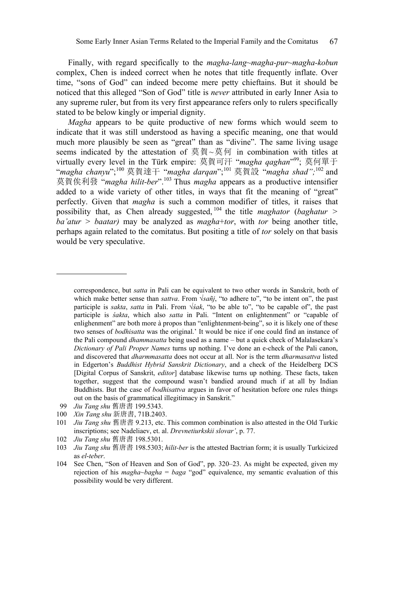Finally, with regard specifically to the *magha-lang~magha-pur~magha-kobun*  complex, Chen is indeed correct when he notes that title frequently inflate. Over time, "sons of God" can indeed become mere petty chieftains. But it should be noticed that this alleged "Son of God" title is *never* attributed in early Inner Asia to any supreme ruler, but from its very first appearance refers only to rulers specifically stated to be below kingly or imperial dignity.

*Magha* appears to be quite productive of new forms which would seem to indicate that it was still understood as having a specific meaning, one that would much more plausibly be seen as "great" than as "divine". The same living usage seems indicated by the attestation of 莫賀~莫何 in combination with titles at virtually every level in the Türk empire: 莫賀可汗 "*magha qaghan*" 99; 莫何單于 "*magha chanyu*";<sup>100</sup> 莫賀達干 "*magha darqan*";<sup>101</sup> 莫賀設 "*magha shad";*102 and 莫賀俟利發 "*magha hilit-ber*".103 Thus *magha* appears as a productive intensifier added to a wide variety of other titles, in ways that fit the meaning of "great" perfectly. Given that *magha* is such a common modifier of titles, it raises that possibility that, as Chen already suggested, 104 the title *maghator* (*baghatur > ba'atur > baatar)* may be analyzed as *magha*+*tor*, with *tor* being another title, perhaps again related to the comitatus. But positing a title of *tor* solely on that basis would be very speculative.

- 99 *Jiu Tang shu* 舊唐書 199.5343.
- 100 *Xin Tang shu* 新唐書, 71B.2403.

102 *Jiu Tang shu* 舊唐書 198.5301.

correspondence, but *satta* in Pali can be equivalent to two other words in Sanskrit, both of which make better sense than *sattva*. From √*sañj*, "to adhere to", "to be intent on", the past participle is *sakta*, *satta* in Pali. From √*śak*, "to be able to", "to be capable of", the past participle is *śakta*, which also *satta* in Pali. "Intent on enlightenment" or "capable of enlighenment" are both more à propos than "enlightenment-being", so it is likely one of these two senses of *bodhisatta* was the original.' It would be nice if one could find an instance of the Pali compound *dhammasatta* being used as a name – but a quick check of Malalasekara's *Dictionary of Pali Proper Names* turns up nothing. I've done an e-check of the Pali canon, and discovered that *dharmmasatta* does not occur at all. Nor is the term *dharmasattva* listed in Edgerton's *Buddhist Hybrid Sanskrit Dictionary*, and a check of the Heidelberg DCS [Digital Corpus of Sanskrit, *editor*] database likewise turns up nothing. These facts, taken together, suggest that the compound wasn't bandied around much if at all by Indian Buddhists. But the case of *bodhisattva* argues in favor of hesitation before one rules things out on the basis of grammatical illegitimacy in Sanskrit."

<sup>101</sup> *Jiu Tang shu* 舊唐書 9.213, etc. This common combination is also attested in the Old Turkic inscriptions; see Nadeliaev, et. al. *Drevnetiurkskii slovar'*, p. 77.

<sup>103</sup> *Jiu Tang shu* 舊唐書 198.5303; *hilit-ber* is the attested Bactrian form; it is usually Turkicized as *el*-*teber*.

<sup>104</sup> See Chen, "Son of Heaven and Son of God", pp. 320–23. As might be expected, given my rejection of his *magha~bagha* = *baga* "god" equivalence, my semantic evaluation of this possibility would be very different.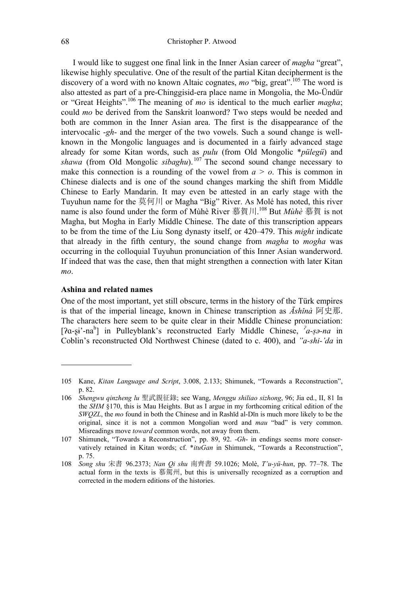I would like to suggest one final link in the Inner Asian career of *magha* "great", likewise highly speculative. One of the result of the partial Kitan decipherment is the discovery of a word with no known Altaic cognates, *mo* "big, great".<sup>105</sup> The word is also attested as part of a pre-Chinggisid-era place name in Mongolia, the Mo-Ündür or "Great Heights".106 The meaning of *mo* is identical to the much earlier *magha*; could *mo* be derived from the Sanskrit loanword? Two steps would be needed and both are common in the Inner Asian area. The first is the disappearance of the intervocalic -*gh*- and the merger of the two vowels. Such a sound change is wellknown in the Mongolic languages and is documented in a fairly advanced stage already for some Kitan words, such as *pulu* (from Old Mongolic \**pülegü*) and *shawa* (from Old Mongolic *sibaghu*). 107 The second sound change necessary to make this connection is a rounding of the vowel from *a > o*. This is common in Chinese dialects and is one of the sound changes marking the shift from Middle Chinese to Early Mandarin. It may even be attested in an early stage with the Tuyuhun name for the 莫何川 or Magha "Big" River. As Molé has noted, this river name is also found under the form of Mùhè River 慕賀川. 108 But *Mùhè* 慕賀 is not Magha, but Mogha in Early Middle Chinese. The date of this transcription appears to be from the time of the Liu Song dynasty itself, or 420–479. This *might* indicate that already in the fifth century, the sound change from *magha* to *mogha* was occurring in the colloquial Tuyuhun pronunciation of this Inner Asian wanderword. If indeed that was the case, then that might strengthen a connection with later Kitan *mo*.

#### **Ashina and related names**

One of the most important, yet still obscure, terms in the history of the Türk empires is that of the imperial lineage, known in Chinese transcription as *Āshǐnà* 阿史那. The characters here seem to be quite clear in their Middle Chinese pronunciation: [ʔɑ-ʂɨ'-nah ] in Pulleyblank's reconstructed Early Middle Chinese, *<sup>ʔ</sup> ɑ-ṣə-nɑ* in Coblin's reconstructed Old Northwest Chinese (dated to c. 400), and *"a-shi-'da* in

<sup>105</sup> Kane, *Kitan Language and Script*, 3.008, 2.133; Shimunek, "Towards a Reconstruction", p. 82.

<sup>106</sup> *Shengwu qinzheng lu* 聖武親征錄; see Wang, *Menggu shiliao sizhong*, 96; Jia ed., II, 81 In the *SHM* §170, this is Mau Heights. But as I argue in my forthcoming critical edition of the *SWQZL*, the *mo* found in both the Chinese and in Rashīd al-Dīn is much more likely to be the original, since it is not a common Mongolian word and *mau* "bad" is very common. Misreadings move *toward* common words, not away from them.

<sup>107</sup> Shimunek, "Towards a Reconstruction", pp. 89, 92. -*Gh*- in endings seems more conservatively retained in Kitan words; cf. \**ituGan* in Shimunek, "Towards a Reconstruction", p. 75.

<sup>108</sup> *Song shu* 宋書 96.2373; *Nan Qi shu* 南齊書 59.1026; Molè, *T'u-yü-hun*, pp. 77–78. The actual form in the texts is 慕駕州, but this is universally recognized as a corruption and corrected in the modern editions of the histories.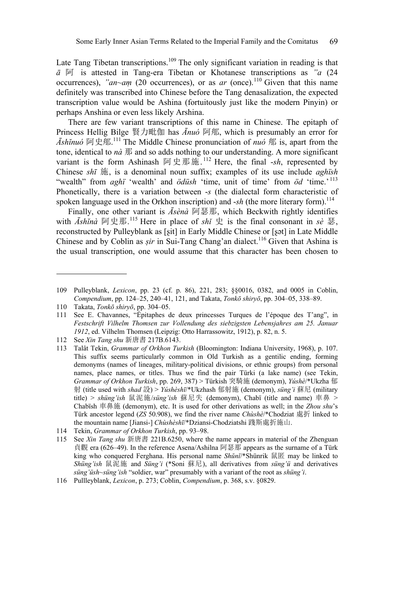Late Tang Tibetan transcriptions.<sup>109</sup> The only significant variation in reading is that *ā* 阿 is attested in Tang-era Tibetan or Khotanese transcriptions as *"a* (24 occurrences), "an~am (20 occurrences), or as ar (once).<sup>110</sup> Given that this name definitely was transcribed into Chinese before the Tang denasalization, the expected transcription value would be Ashina (fortuitously just like the modern Pinyin) or perhaps Anshina or even less likely Arshina.

There are few variant transcriptions of this name in Chinese. The epitaph of Princess Hellig Bilge 賢力毗伽 has *Ānuó* 阿郍, which is presumably an error for *Āshĭnuó* 阿史郍. 111 The Middle Chinese pronunciation of *nuó* 郍 is, apart from the tone, identical to  $n\dot{a} \nrightarrow$  and so adds nothing to our understanding. A more significant variant is the form Ashinash 阿史那施. 112 Here, the final -*sh*, represented by Chinese *shī* 施, is a denominal noun suffix; examples of its use include *aghïsh* "wealth" from *aghi* 'wealth' and *ödüsh* 'time, unit of time' from *öd* 'time.' <sup>113</sup> Phonetically, there is a variation between -*s* (the dialectal form characteristic of spoken language used in the Orkhon inscription) and  $-sh$  (the more literary form).<sup>114</sup>

Finally, one other variant is *Āsènà* 阿瑟那, which Beckwith rightly identifies with *Āshĭnà* 阿史那. 115 Here in place of *shǐ* 史 is the final consonant in *sè* 瑟, reconstructed by Pulleyblank as [ʂit] in Early Middle Chinese or [ʂət] in Late Middle Chinese and by Coblin as *ṣir* in Sui-Tang Chang'an dialect.116 Given that Ashina is the usual transcription, one would assume that this character has been chosen to

- 112 See *Xin Tang shu* 新唐書 217B.6143.
- 113 Talât Tekin, *Grammar of Orkhon Turkish* (Bloomington: Indiana University, 1968), p. 107. This suffix seems particularly common in Old Turkish as a gentilic ending, forming demonyms (names of lineages, military-political divisions, or ethnic groups) from personal names, place names, or titles. Thus we find the pair Türki (a lake name) (see Tekin, *Grammar of Orkhon Turkish*, pp. 269, 387) > Türkish 突騎施 (demonym), *Yúshè*/\*Ukzha 郁 射 (title used with *shad* 設) > *Yúshèshī*/\*Ukzhash 郁射施 (demonym), *süng'i* 蘇尼 (military title) > *shüng'ish* 鼠泥施/*süng'ish* 蘇尼失 (demonym), Chabï (title and name) 車鼻 > Chabïsh 車鼻施 (demonym), etc. It is used for other derivations as well; in the *Zhou shu*'s Türk ancestor legend (*ZS* 50.908), we find the river name *Chùshè*/\*Chodziat 處折 linked to the mountain name [Jiansi-] *Chùshèshī*/\*Dziansi-Chodziatshi 踐斯處折施山.

<sup>109</sup> Pulleyblank, *Lexicon*, pp. 23 (cf. p. 86), 221, 283; §§0016, 0382, and 0005 in Coblin, *Compendium*, pp. 124–25, 240–41, 121, and Takata, *Tonkō shiryō*, pp. 304–05, 338–89.

<sup>110</sup> Takata, *Tonkō shiryō*, pp. 304–05.

<sup>111</sup> See E. Chavannes, "Épitaphes de deux princesses Turques de l'époque des T'ang", in *Festschrift Vilhelm Thomsen zur Vollendung des siebzigsten Lebensjahres am 25. Januar 1912*, ed. Vilhelm Thomsen (Leipzig: Otto Harrassowitz, 1912), p. 82, n. 5.

<sup>114</sup> Tekin, *Grammar of Orkhon Turkish*, pp. 93–98.

<sup>115</sup> See *Xin Tang shu* 新唐書 221B.6250, where the name appears in material of the Zhenguan 貞觀 era (626–49). In the reference Asena/Ashilna 阿瑟那 appears as the surname of a Türk king who conquered Ferghana. His personal name *Shŭnĭ*/\*Shünrik 鼠匿 may be linked to *Shüng'ish* 鼠泥施 and *Süng'i* (\*Soni 蘇尼), all derivatives from *süng'ü* and derivatives *süng'üsh*~*süng'ish* "soldier, war" presumably with a variant of the root as *shüng'i*.

<sup>116</sup> Pullleyblank, *Lexicon*, p. 273; Coblin, *Compendium*, p. 368, s.v. §0829.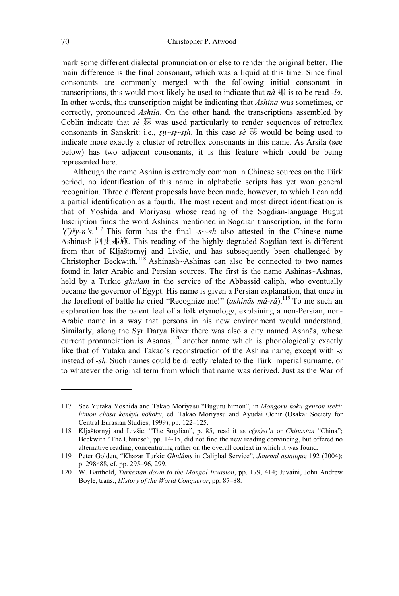mark some different dialectal pronunciation or else to render the original better. The main difference is the final consonant, which was a liquid at this time. Since final consonants are commonly merged with the following initial consonant in transcriptions, this would most likely be used to indicate that *nà* 那 is to be read -*la*. In other words, this transcription might be indicating that *Ashina* was sometimes, or correctly, pronounced *Ashila*. On the other hand, the transcriptions assembled by Coblin indicate that *sè* 瑟 was used particularly to render sequences of retroflex consonants in Sanskrit: i.e., *ṣṇ~ṣṭ~ṣṭh*. In this case *sè* 瑟 would be being used to indicate more exactly a cluster of retroflex consonants in this name. As Arsila (see below) has two adjacent consonants, it is this feature which could be being represented here.

Although the name Ashina is extremely common in Chinese sources on the Türk period, no identification of this name in alphabetic scripts has yet won general recognition. Three different proposals have been made, however, to which I can add a partial identification as a fourth. The most recent and most direct identification is that of Yoshida and Moriyasu whose reading of the Sogdian-language Bugut Inscription finds the word Ashinas mentioned in Sogdian transcription, in the form *'(')šy-n's*. 117 This form has the final -*s~-sh* also attested in the Chinese name Ashinash 阿史那施. This reading of the highly degraded Sogdian text is different from that of Kljaštornyj and Livšic, and has subsequently been challenged by Christopher Beckwith.<sup>118</sup> Ashinash~Ashinas can also be connected to two names found in later Arabic and Persian sources. The first is the name Ashinās~Ashnās, held by a Turkic *ghulam* in the service of the Abbassid caliph, who eventually became the governor of Egypt. His name is given a Persian explanation, that once in the forefront of battle he cried "Recognize me!" (*ashinās mā-rā*).119 To me such an explanation has the patent feel of a folk etymology, explaining a non-Persian, non-Arabic name in a way that persons in his new environment would understand. Similarly, along the Syr Darya River there was also a city named Ashnās, whose current pronunciation is Asanas,<sup>120</sup> another name which is phonologically exactly like that of Yutaka and Takao's reconstruction of the Ashina name, except with *-s* instead of *-sh*. Such names could be directly related to the Türk imperial surname, or to whatever the original term from which that name was derived. Just as the War of

<sup>117</sup> See Yutaka Yoshida and Takao Moriyasu "Bugutu himon", in *Mongoru koku genzon iseki: himon chôsa kenkyû hôkoku*, ed. Takao Moriyasu and Ayudai Ochir (Osaka: Society for Central Eurasian Studies, 1999), pp. 122–125.

<sup>118</sup> Kljaštornyj and Livšic, "The Sogdian", p. 85, read it as *c(yn)st'n* or *Chinastan* "China"; Beckwith "The Chinese", pp. 14-15, did not find the new reading convincing, but offered no alternative reading, concentrating rather on the overall context in which it was found.

<sup>119</sup> Peter Golden, "Khazar Turkic *Ghulâms* in Caliphal Service", *Journal asiatiqu*e 192 (2004): p. 298n88, cf. pp. 295–96, 299.

<sup>120</sup> W. Barthold, *Turkestan down to the Mongol Invasion*, pp. 179, 414; Juvaini, John Andrew Boyle, trans., *History of the World Conqueror*, pp. 87–88.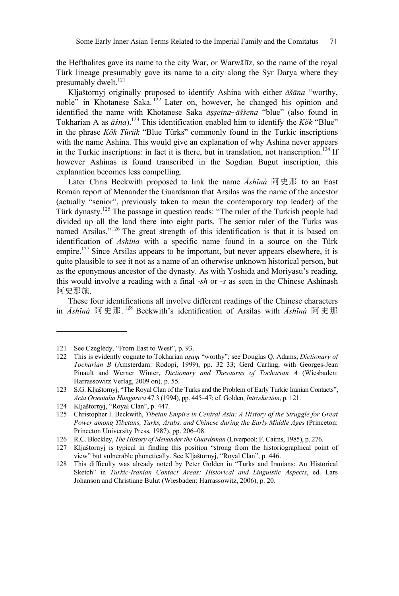the Hefthalites gave its name to the city War, or Warwālīz, so the name of the royal Türk lineage presumably gave its name to a city along the Syr Darya where they presumably dwelt.<sup>121</sup>

Kljaštornyj originally proposed to identify Ashina with either *āšāna* "worthy, noble" in Khotanese Saka. 122 Later on, however, he changed his opinion and identified the name with Khotanese Saka *āṣṣeina~āššena* "blue" (also found in Tokharian A as *āśna*).123 This identification enabled him to identify the *Kök* "Blue" in the phrase *Kök Türük* "Blue Türks" commonly found in the Turkic inscriptions with the name Ashina. This would give an explanation of why Ashina never appears in the Turkic inscriptions: in fact it is there, but in translation, not transcription.<sup>124</sup> If however Ashinas is found transcribed in the Sogdian Bugut inscription, this explanation becomes less compelling.

Later Chris Beckwith proposed to link the name *Āshĭnà* 阿史那 to an East Roman report of Menander the Guardsman that Arsilas was the name of the ancestor (actually "senior", previously taken to mean the contemporary top leader) of the Türk dynasty.125 The passage in question reads: "The ruler of the Turkish people had divided up all the land there into eight parts. The senior ruler of the Turks was named Arsilas."<sup>126</sup> The great strength of this identification is that it is based on identification of *Ashina* with a specific name found in a source on the Türk empire.<sup>127</sup> Since Arsilas appears to be important, but never appears elsewhere, it is quite plausible to see it not as a name of an otherwise unknown historical person, but as the eponymous ancestor of the dynasty. As with Yoshida and Moriyasu's reading, this would involve a reading with a final -*sh* or -*s* as seen in the Chinese Ashinash 阿史那施.

These four identifications all involve different readings of the Chinese characters in *Āshĭnà* 阿史那. 128 Beckwith's identification of Arsilas with *Āshĭnà* 阿史那

<sup>121</sup> See Czeglédy, "From East to West", p. 93.

<sup>122</sup> This is evidently cognate to Tokharian *aṣaṃ* "worthy"; see Douglas Q. Adams, *Dictionary of Tocharian B* (Amsterdam: Rodopi, 1999), pp. 32–33; Gerd Carling, with Georges-Jean Pinault and Werner Winter, *Dictionary and Thesaurus of Tocharian A* (Wiesbaden: Harrassowitz Verlag, 2009 on), p. 55.

<sup>123</sup> S.G. Kljaštornyj, "The Royal Clan of the Turks and the Problem of Early Turkic Iranian Contacts", *Acta Orientalia Hungarica* 47.3 (1994), pp. 445–47; cf. Golden, *Introduction*, p. 121.

<sup>124</sup> Kljaštornyj, "Royal Clan", p. 447.

<sup>125</sup> Christopher I. Beckwith, *Tibetan Empire in Central Asia: A History of the Struggle for Great Power among Tibetans, Turks, Arabs, and Chinese during the Early Middle Ages* (Princeton: Princeton University Press, 1987), pp. 206–08.

<sup>126</sup> R.C. Blockley, *The History of Menander the Guardsman* (Liverpool: F. Cairns, 1985), p. 276.

<sup>127</sup> Kljaštornyj is typical in finding this position "strong from the historiographical point of view" but vulnerable phonetically. See Kljaštornyj, "Royal Clan", p. 446.

<sup>128</sup> This difficulty was already noted by Peter Golden in "Turks and Iranians: An Historical Sketch" in *Turkic-Iranian Contact Areas: Historical and Linguistic Aspects*, ed. Lars Johanson and Christiane Bulut (Wiesbaden: Harrassowitz, 2006), p. 20.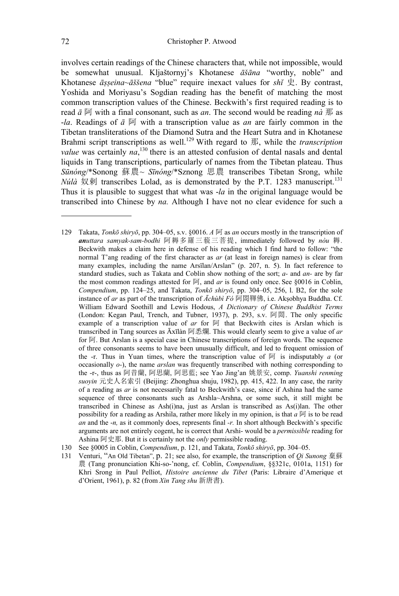involves certain readings of the Chinese characters that, while not impossible, would be somewhat unusual. Kljaštornyj's Khotanese *āšāna* "worthy, noble" and Khotanese *āṣṣeina*~*āššena* "blue" require inexact values for *shĭ* 史. By contrast, Yoshida and Moriyasu's Sogdian reading has the benefit of matching the most common transcription values of the Chinese. Beckwith's first required reading is to read *ā* 阿 with a final consonant, such as *an*. The second would be reading *nà* 那 as -*la*. Readings of *ā* 阿 with a transcription value as *an* are fairly common in the Tibetan transliterations of the Diamond Sutra and the Heart Sutra and in Khotanese Brahmi script transcriptions as well.<sup>129</sup> With regard to  $\mathbb{H}$ , while the *transcription value* was certainly  $na$ ,<sup>130</sup>, there is an attested confusion of dental nasals and dental liquids in Tang transcriptions, particularly of names from the Tibetan plateau. Thus *Sūnóng*/\*Sonong 蘇農~ *Sīnóng*/\*Sznong 思農 transcribes Tibetan Srong, while *Núlà* 奴剌 transcribes Lolad, as is demonstrated by the P.T. 1283 manuscript.<sup>131</sup> Thus it is plausible to suggest that what was -*la* in the original language would be transcribed into Chinese by *na.* Although I have not no clear evidence for such a

<sup>129</sup> Takata, *Tonkō shiryō*, pp. 304–05, s.v. §0016. *A* 阿 as *an* occurs mostly in the transcription of *anuttara samyak-sam-bodhi* 阿耨多羅三藐三菩提, immediately followed by *nòu* 耨*.* Beckwith makes a claim here in defense of his reading which I find hard to follow: "the normal T'ang reading of the first character as *ar* (at least in foreign names) is clear from many examples, including the name Arsïlan/Arslan" (p. 207, n. 5). In fact reference to standard studies, such as Takata and Coblin show nothing of the sort; *a-* and *an-* are by far the most common readings attested for  $\overline{p}$ , and *ar* is found only once. See §0016 in Coblin, *Compendium*, pp. 124–25, and Takata, *Tonkō shiryō*, pp. 304–05, 256, l. B2, for the sole instance of *ar* as part of the transcription of *Āchùbì Fó* 阿閦鞸佛, i.e. Akṣobhya Buddha. Cf. William Edward Soothill and Lewis Hodous, *A Dictionary of Chinese Buddhist Terms*  (London: Kegan Paul, Trench, and Tubner, 1937), p. 293, s.v. 阿閦. The only specific example of a transcription value of  $ar$  for  $\boxed{q}$  that Beckwith cites is Arslan which is transcribed in Tang sources as Āxīlàn 阿悉爛. This would clearly seem to give a value of *ar* for 阿. But Arslan is a special case in Chinese transcriptions of foreign words. The sequence of three consonants seems to have been unusually difficult, and led to frequent omission of the -r. Thus in Yuan times, where the transcription value of  $\boxed{5}$  is indisputably *a* (or occasionally *o-*), the name *arslan* was frequently transcribed with nothing corresponding to the -r-, thus as 阿昔蘭, 阿思蘭, 阿思藍; see Yao Jing'an 姚景安, comp. *Yuanshi renming suoyin* 元史人名索引 (Beijing: Zhonghua shuju, 1982), pp. 415, 422. In any case, the rarity of a reading as *ar* is not necessarily fatal to Beckwith's case, since if Ashina had the same sequence of three consonants such as Arshla~Arshna, or some such, it still might be transcribed in Chinese as Ash(i)na, just as Arslan is transcribed as As(i)lan. The other possibility for a reading as Arshila, rather more likely in my opinion, is that  $a \trianglerighteq \pi$  is to be read *an* and the -*n,* as it commonly does, represents final *-r.* In short although Beckwith's specific arguments are not entirely cogent, he is correct that Arshi- would be a *permissible* reading for Ashina 阿史那. But it is certainly not the *only* permissible reading.

<sup>130</sup> See §0005 in Coblin, *Compendium*, p. 121, and Takata, *Tonkō shiryō*, pp. 304–05.

<sup>131</sup> Venturi, "An Old Tibetan", p. 21; see also, for example, the transcription of *Qi Sunong* 棄蘇 農 (Tang pronunciation Khi-so-'nong, cf. Coblin, *Compendium*, §§321c, 0101a, 1151) for Khri Srong in Paul Pelliot, *Histoire ancienne du Tibet* (Paris: Libraire d'Amerique et d'Orient, 1961), p. 82 (from *Xin Tang shu* 新唐書).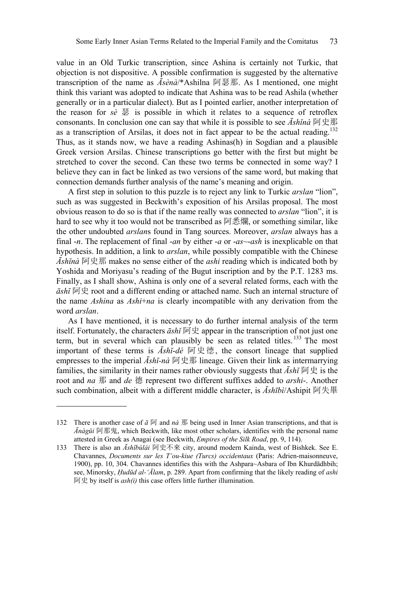value in an Old Turkic transcription, since Ashina is certainly not Turkic, that objection is not dispositive. A possible confirmation is suggested by the alternative transcription of the name as *Āsènà*/\*Ashilna 阿瑟那. As I mentioned, one might think this variant was adopted to indicate that Ashina was to be read Ashila (whether generally or in a particular dialect). But as I pointed earlier, another interpretation of the reason for *sè* 瑟 is possible in which it relates to a sequence of retroflex consonants. In conclusion one can say that while it is possible to see *Āshĭnà* 阿史那 as a transcription of Arsilas, it does not in fact appear to be the actual reading.<sup>132</sup> Thus, as it stands now, we have a reading Ashinas(h) in Sogdian and a plausible Greek version Arsilas. Chinese transcriptions go better with the first but might be stretched to cover the second. Can these two terms be connected in some way? I believe they can in fact be linked as two versions of the same word, but making that connection demands further analysis of the name's meaning and origin.

A first step in solution to this puzzle is to reject any link to Turkic *arslan* "lion", such as was suggested in Beckwith's exposition of his Arsilas proposal. The most obvious reason to do so is that if the name really was connected to *arslan* "lion", it is hard to see why it too would not be transcribed as 阿悉爛, or something similar, like the other undoubted *arslan*s found in Tang sources. Moreover, *arslan* always has a final -*n*. The replacement of final -*an* by either -*a* or -*as*~-*ash* is inexplicable on that hypothesis. In addition, a link to *arslan*, while possibly compatible with the Chinese *Āshĭnà* 阿史那 makes no sense either of the *ashi* reading which is indicated both by Yoshida and Moriyasu's reading of the Bugut inscription and by the P.T. 1283 ms. Finally, as I shall show, Ashina is only one of a several related forms, each with the *āshĭ* 阿史 root and a different ending or attached name. Such an internal structure of the name *Ashina* as *Ashi*+*na* is clearly incompatible with any derivation from the word *arslan*.

As I have mentioned, it is necessary to do further internal analysis of the term itself. Fortunately, the characters *āshǐ* 阿史 appear in the transcription of not just one term, but in several which can plausibly be seen as related titles.<sup>133</sup> The most important of these terms is *Āshĭ*-*dé* 阿史德, the consort lineage that supplied empresses to the imperial  $\overline{A}$ *sh* $\overline{I}$ -nà  $\P$ <sup> $\overline{I}$ </sup>  $\P$  lineage. Given their link as intermarrying families, the similarity in their names rather obviously suggests that  $\overline{A}sh\overline{I} \boxtimes \overline{\mathfrak{B}}$  is the root and *na* 那 and *de* 德 represent two different suffixes added to *arshi*-. Another such combination, albeit with a different middle character, is *Āshībì*/Ashipit 阿失畢

<sup>132</sup> There is another case of  $\bar{a}$   $\overline{p}$  and  $n\dot{a}$   $\overline{p}$  being used in Inner Asian transcriptions, and that is *Ānàgǔi* 阿那鬼, which Beckwith, like most other scholars, identifies with the personal name attested in Greek as Anagai (see Beckwith, *Empires of the Silk Road*, pp. 9, 114).

<sup>133</sup> There is also an *Āshĭbùlái* 阿史不來 city, around modern Kainda, west of Bishkek. See E. Chavannes, *Documents sur les T'ou-kiue (Turcs) occidentaux* (Paris: Adrien-maisonneuve, 1900), pp. 10, 304. Chavannes identifies this with the Ashpara~Asbara of Ibn Khurdādhbih; see, Minorsky, *Ḥudūd al-'Ālam*, p. 289. Apart from confirming that the likely reading of *ashi* 阿史 by itself is *ash(i)* this case offers little further illumination.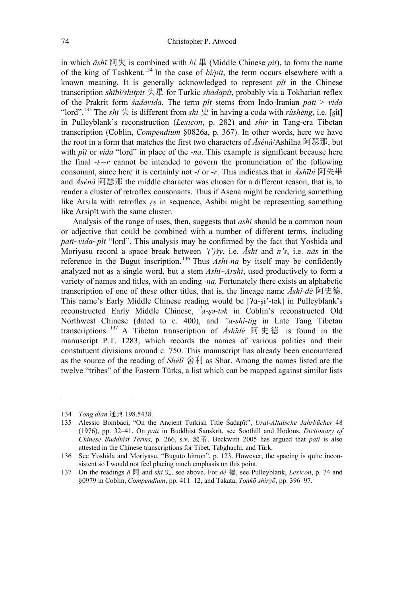in which  $\bar{a}$ *shī* 阿失 is combined with  $bi \ncong$  (Middle Chinese *pit*), to form the name of the king of Tashkent.<sup>134</sup> In the case of  $b\hat{i}/p\hat{i}$ , the term occurs elsewhere with a known meaning. It is generally acknowledged to represent *pït* in the Chinese transcription *shībì/shitpit* 失畢 for Turkic *shadapït*, probably via a Tokharian reflex of the Prakrit form *śadavida*. The term *pït* stems from Indo-Iranian *pati* ˃ *vida*  "lord".<sup>135</sup> The *shī*  $\ddot{\mathcal{F}}$  is different from *shi*  $\ddot{\mathcal{F}}$  in having a coda with *rùshēng*, i.e. [sit] in Pulleyblank's reconstruction (*Lexicon*, p. 282) and *shir* in Tang-era Tibetan transcription (Coblin, *Compendium* §0826a, p. 367). In other words, here we have the root in a form that matches the first two characters of *Āsènà*/Ashilna 阿瑟那, but with *pït* or *vida* "lord" in place of the -*na*. This example is significant because here the final  $-t$ <sup>-r</sup> cannot be intended to govern the pronunciation of the following consonant, since here it is certainly not *-l* or -*r*. This indicates that in *Āshībì* 阿失畢 and *Āsènà* 阿瑟那 the middle character was chosen for a different reason, that is, to render a cluster of retroflex consonants. Thus if Asena might be rendering something like Arsila with retroflex *ṛṣ* in sequence, Ashibi might be representing something like Arsipït with the same cluster.

Analysis of the range of uses, then, suggests that *ashi* should be a common noun or adjective that could be combined with a number of different terms, including *pati*~*vida~pït* "lord". This analysis may be confirmed by the fact that Yoshida and Moriyasu record a space break between *'(')šy*, i.e. *Āshī* and *n's*, i.e. *nās* in the reference in the Bugut inscription.<sup>136</sup> Thus *Ashi-na* by itself may be confidently analyzed not as a single word, but a stem *Ashi~Arshi*, used productively to form a variety of names and titles, with an ending *-na*. Fortunately there exists an alphabetic transcription of one of these other titles, that is, the lineage name *Āshǐ-dé* 阿史德. This name's Early Middle Chinese reading would be [ʔɑ-ʂɨ'-tək] in Pulleyblank's reconstructed Early Middle Chinese, *<sup>ʔ</sup> ɑ-ṣə-tək* in Coblin's reconstructed Old Northwest Chinese (dated to c. 400), and *"a-shi-tig* in Late Tang Tibetan transcriptions. 137 A Tibetan transcription of *Āshĭdé* 阿史德 is found in the manuscript P.T. 1283, which records the names of various polities and their constutuent divisions around c. 750. This manuscript has already been encountered as the source of the reading of *Shélì* 舍利 as Shar. Among the names listed are the twelve "tribes" of the Eastern Türks, a list which can be mapped against similar lists

<sup>134</sup> *Tong dian* 通典 198.5438.

<sup>135</sup> Alessio Bombaci, "On the Ancient Turkish Title Šadapït", *Ural-Altaische Jahrbücher* 48 (1976), pp. 32–41. On *pati* in Buddhist Sanskrit, see Soothill and Hodous, *Dictionary of Chinese Buddhist Terms*, p. 266, s.v. 波帝. Beckwith 2005 has argued that *pati* is also attested in the Chinese transcriptions for Tibet, Tabghachi, and Türk.

<sup>136</sup> See Yoshida and Moriyasu, "Buguto himon", p. 123. However, the spacing is quite inconsistent so I would not feel placing much emphasis on this point.

<sup>137</sup> On the readings *ā* 阿 and *shi* 史, see above. For *dé* 德, see Pulleyblank, *Lexicon*, p. 74 and §0979 in Coblin, *Compendium*, pp. 411–12, and Takata, *Tonkō shiryō*, pp. 396–97.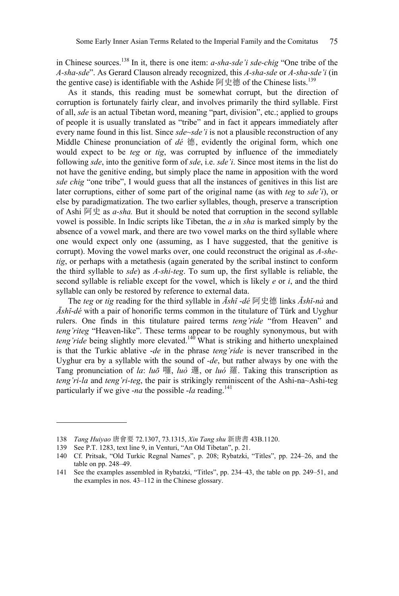in Chinese sources.138 In it, there is one item: *a-sha-sde'i sde-chig* "One tribe of the *A-sha-sde*". As Gerard Clauson already recognized, this *A-sha-sde* or *A-sha-sde'i* (in the gentive case) is identifiable with the Ashide 阿史德 of the Chinese lists.<sup>139</sup>

As it stands, this reading must be somewhat corrupt, but the direction of corruption is fortunately fairly clear, and involves primarily the third syllable. First of all, *sde* is an actual Tibetan word, meaning "part, division", etc.; applied to groups of people it is usually translated as "tribe" and in fact it appears immediately after every name found in this list. Since *sde~sde'i* is not a plausible reconstruction of any Middle Chinese pronunciation of *dé* 德, evidently the original form, which one would expect to be *teg* or *tig*, was corrupted by influence of the immediately following *sde*, into the genitive form of *sde*, i.e. *sde'i*. Since most items in the list do not have the genitive ending, but simply place the name in apposition with the word *sde chig* "one tribe", I would guess that all the instances of genitives in this list are later corruptions, either of some part of the original name (as with *teg* to *sde'i*), or else by paradigmatization. The two earlier syllables, though, preserve a transcription of Ashi 阿史 as *a-sha.* But it should be noted that corruption in the second syllable vowel is possible. In Indic scripts like Tibetan, the *a* in *sha* is marked simply by the absence of a vowel mark, and there are two vowel marks on the third syllable where one would expect only one (assuming, as I have suggested, that the genitive is corrupt). Moving the vowel marks over, one could reconstruct the original as *A-shetig*, or perhaps with a metathesis (again generated by the scribal instinct to conform the third syllable to *sde*) as *A-shi-teg*. To sum up, the first syllable is reliable, the second syllable is reliable except for the vowel, which is likely *e* or *i*, and the third syllable can only be restored by reference to external data.

The *teg* or *tig* reading for the third syllable in *Āshĭ* -*dé* 阿史德 links *Āshĭ-nà* and *Āshĭ*-*dé* with a pair of honorific terms common in the titulature of Türk and Uyghur rulers. One finds in this titulature paired terms *teng'ride* "from Heaven" and *teng'riteg* "Heaven-like". These terms appear to be roughly synonymous, but with *teng'ride* being slightly more elevated.<sup>140</sup> What is striking and hitherto unexplained is that the Turkic ablative -*de* in the phrase *teng'ride* is never transcribed in the Uyghur era by a syllable with the sound of *-de*, but rather always by one with the Tang pronunciation of *la*: *luō* 囉, *luò* 邏, or *luó* 羅. Taking this transcription as *teng'ri-la* and *teng'ri-teg*, the pair is strikingly reminiscent of the Ashi-na~Ashi-teg particularly if we give  $-na$  the possible  $-la$  reading.<sup>141</sup>

<sup>138</sup> *Tang Huiyao* 唐會要 72.1307, 73.1315, *Xin Tang shu* 新唐書 43B.1120.

<sup>139</sup> See P.T. 1283, text line 9, in Venturi, "An Old Tibetan", p. 21.

<sup>140</sup> Cf. Pritsak, "Old Turkic Regnal Names", p. 208; Rybatzki, "Titles", pp. 224–26, and the table on pp. 248–49.

<sup>141</sup> See the examples assembled in Rybatzki, "Titles", pp. 234–43, the table on pp. 249–51, and the examples in nos. 43–112 in the Chinese glossary.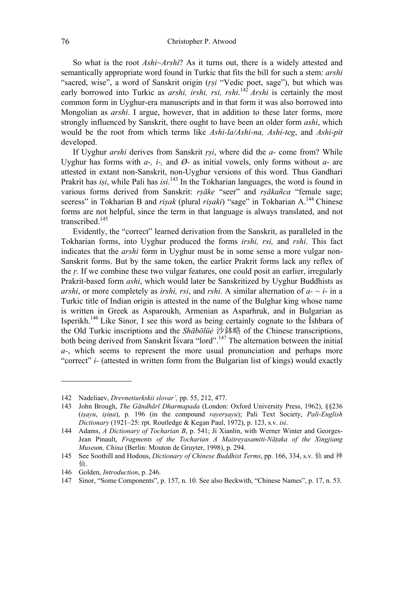So what is the root *Ashi~Arshi*? As it turns out, there is a widely attested and semantically appropriate word found in Turkic that fits the bill for such a stem: *arshi*  "sacred, wise", a word of Sanskrit origin (*ṛṣi* "Vedic poet, sage"), but which was early borrowed into Turkic as *arshi, irshi, rsi, rshi*.<sup>142</sup> *Arshi* is certainly the most common form in Uyghur-era manuscripts and in that form it was also borrowed into Mongolian as *arshi*. I argue, however, that in addition to these later forms, more strongly influenced by Sanskrit, there ought to have been an older form *ashi*, which would be the root from which terms like *Ashi-la/Ashi-na, Ashi-teg*, and *Ashi-pit*  developed.

If Uyghur *arshi* derives from Sanskrit *ṛṣi*, where did the *a-* come from? While Uyghur has forms with *a-, i-,* and *Ø-* as initial vowels, only forms without *a-* are attested in extant non-Sanskrit, non-Uyghur versions of this word. Thus Gandhari Prakrit has *isi*, while Pali has *isi*.<sup>143</sup> In the Tokharian languages, the word is found in various forms derived from Sanskrit: *rṣāke* "seer" and *rṣākañca* "female sage; seeress" in Tokharian B and *riṣak* (plural *riṣaki*) "sage" in Tokharian A.144 Chinese forms are not helpful, since the term in that language is always translated, and not transcribed.<sup>145</sup>

Evidently, the "correct" learned derivation from the Sanskrit, as paralleled in the Tokharian forms, into Uyghur produced the forms *irshi, rsi,* and *rshi*. This fact indicates that the *arshi* form in Uyghur must be in some sense a more vulgar non-Sanskrit forms. But by the same token, the earlier Prakrit forms lack any reflex of the *ṛ*. If we combine these two vulgar features, one could posit an earlier, irregularly Prakrit-based form *ashi*, which would later be Sanskritized by Uyghur Buddhists as *arshi*, or more completely as *irshi*, *rsi*, and *rshi*. A similar alternation of  $a - \gamma i$ - in a Turkic title of Indian origin is attested in the name of the Bulghar king whose name is written in Greek as Asparoukh, Armenian as Asparhruk, and in Bulgarian as Isperikh.<sup>146</sup> Like Sinor, I see this word as being certainly cognate to the Ishbara of the Old Turkic inscriptions and the *Shābōlüè* 沙鉢略 of the Chinese transcriptions, both being derived from Sanskrit Īśvara "lord".<sup>147</sup> The alternation between the initial *a-*, which seems to represent the more usual pronunciation and perhaps more "correct" *i-* (attested in written form from the Bulgarian list of kings) would exactly

<sup>142</sup> Nadeliaev, *Drevnetiurkskii slovar',* pp. 55, 212, 477.

<sup>143</sup> John Brough, *The Gāndhārī Dharmapada* (London: Oxford University Press, 1962), §§236 (*iṣayu*, *iṣiṇa*), p. 196 (in the compound *rayerṣayu*); Pali Text Society, *Pali-English Dictionary* (1921–25: rpt. Routledge & Kegan Paul, 1972), p. 123, s.v. *isi*.

<sup>144</sup> Adams, *A Dictionary of Tocharian B*, p. 541; Ji Xianlin, with Werner Winter and Georges-Jean Pinault, *Fragments of the Tocharian A Maitreyasamiti-Nāṭaka of the Xingjiang Museum, China* (Berlin: Mouton de Gruyter, 1998), p. 294.

<sup>145</sup> See Soothill and Hodous, *Dictionary of Chinese Buddhist Terms*, pp. 166, 334, s.v. 仙 and 神 仙.

<sup>146</sup> Golden, *Introduction*, p. 246.

<sup>147</sup> Sinor, "Some Components", p. 157, n. 10. See also Beckwith, "Chinese Names", p. 17, n. 53.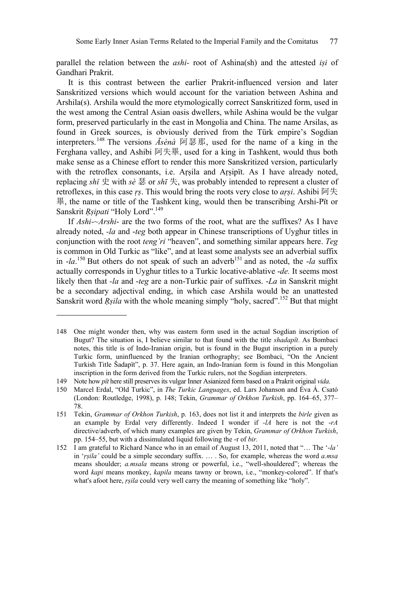parallel the relation between the *ashi-* root of Ashina(sh) and the attested *iṣi* of Gandhari Prakrit.

It is this contrast between the earlier Prakrit-influenced version and later Sanskritized versions which would account for the variation between Ashina and Arshila(s). Arshila would the more etymologically correct Sanskritized form, used in the west among the Central Asian oasis dwellers, while Ashina would be the vulgar form, preserved particularly in the east in Mongolia and China. The name Arsilas, as found in Greek sources, is obviously derived from the Türk empire's Sogdian interpreters.148 The versions *Āsènà* 阿瑟那, used for the name of a king in the Ferghana valley, and Ashibi 阿失畢, used for a king in Tashkent, would thus both make sense as a Chinese effort to render this more Sanskritized version, particularly with the retroflex consonants, i.e. Arsila and Arsipit. As I have already noted, replacing *shǐ* 史 with *sè* 瑟 or *shī* 失, was probably intended to represent a cluster of retroflexes, in this case *ṛṣ*. This would bring the roots very close to *aṛṣi*. Ashibi 阿失 畢, the name or title of the Tashkent king, would then be transcribing Arshi-Pït or Sanskrit *Ŗṣipati* "Holy Lord".<sup>149</sup>

If *Ashi-~Arshi*- are the two forms of the root, what are the suffixes? As I have already noted, *-la* and -*teg* both appear in Chinese transcriptions of Uyghur titles in conjunction with the root *teng'ri* "heaven", and something similar appears here. *Teg*  is common in Old Turkic as "like", and at least some analysts see an adverbial suffix in -*la*.<sup>150</sup> But others do not speak of such an adverb<sup>151</sup> and as noted, the -*la* suffix actually corresponds in Uyghur titles to a Turkic locative-ablative -*de.* It seems most likely then that *-la* and -*teg* are a non-Turkic pair of suffixes. -*La* in Sanskrit might be a secondary adjectival ending, in which case Arshila would be an unattested Sanskrit word *Rsila* with the whole meaning simply "holy, sacred".<sup>152</sup> But that might

<sup>148</sup> One might wonder then, why was eastern form used in the actual Sogdian inscription of Bugut? The situation is, I believe similar to that found with the title *shadapït*. As Bombaci notes, this title is of Indo-Iranian origin, but is found in the Bugut inscription in a purely Turkic form, uninfluenced by the Iranian orthography; see Bombaci, "On the Ancient Turkish Title Šadapït", p. 37. Here again, an Indo-Iranian form is found in this Mongolian inscription in the form derived from the Turkic rulers, not the Sogdian interpreters.

<sup>149</sup> Note how *pït* here still preserves its vulgar Inner Asianized form based on a Prakrit original *vida*.

<sup>150</sup> Marcel Erdal, "Old Turkic", in *The Turkic Languages*, ed. Lars Johanson and Éva Á. Csató (London: Routledge, 1998), p. 148; Tekin, *Grammar of Orkhon Turkish*, pp. 164–65, 377– 78.

<sup>151</sup> Tekin, *Grammar of Orkhon Turkish*, p. 163, does not list it and interprets the *birle* given as an example by Erdal very differently. Indeed I wonder if *-lA* here is not the -*rA*  directive/adverb, of which many examples are given by Tekin, *Grammar of Orkhon Turkish*, pp. 154–55, but with a dissimulated liquid following the -r of *bir.* 

<sup>152</sup> I am grateful to Richard Nance who in an email of August 13, 2011, noted that "… The '-*la'* in '*ṛṣila'* could be a simple secondary suffix. … . So, for example, whereas the word *a.msa* means shoulder; *a.msala* means strong or powerful, i.e., "well-shouldered"; whereas the word *kapi* means monkey, *kapila* means tawny or brown, i.e., "monkey-colored". If that's what's afoot here, *rsila* could very well carry the meaning of something like "holy".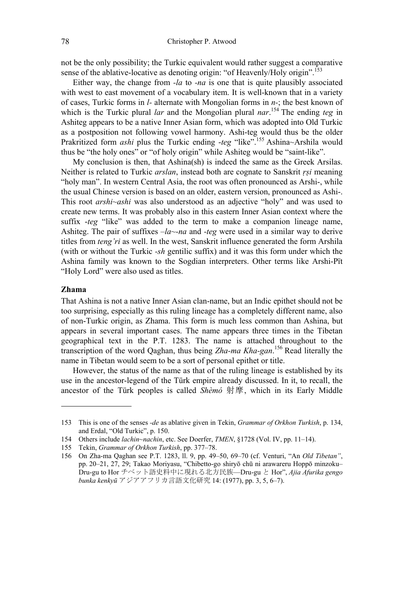not be the only possibility; the Turkic equivalent would rather suggest a comparative sense of the ablative-locative as denoting origin: "of Heavenly/Holy origin".<sup>153</sup>

Either way, the change from *-la* to *-na* is one that is quite plausibly associated with west to east movement of a vocabulary item. It is well-known that in a variety of cases, Turkic forms in *l-* alternate with Mongolian forms in *n-*; the best known of which is the Turkic plural *lar* and the Mongolian plural *nar*. 154 The ending *teg* in Ashiteg appears to be a native Inner Asian form, which was adopted into Old Turkic as a postposition not following vowel harmony. Ashi-teg would thus be the older Prakritized form *ashi* plus the Turkic ending -teg "like".<sup>155</sup> Ashina~Arshila would thus be "the holy ones" or "of holy origin" while Ashiteg would be "saint-like".

My conclusion is then, that Ashina(sh) is indeed the same as the Greek Arsilas. Neither is related to Turkic *arslan*, instead both are cognate to Sanskrit *ṛṣi* meaning "holy man". In western Central Asia, the root was often pronounced as Arshi-, while the usual Chinese version is based on an older, eastern version, pronounced as Ashi-. This root *arshi~ashi* was also understood as an adjective "holy" and was used to create new terms. It was probably also in this eastern Inner Asian context where the suffix -*teg* "like" was added to the term to make a companion lineage name, Ashiteg. The pair of suffixes *–la~-na* and *-teg* were used in a similar way to derive titles from *teng'ri* as well. In the west, Sanskrit influence generated the form Arshila (with or without the Turkic *-sh* gentilic suffix) and it was this form under which the Ashina family was known to the Sogdian interpreters. Other terms like Arshi-Pït "Holy Lord" were also used as titles.

#### **Zhama**

That Ashina is not a native Inner Asian clan-name, but an Indic epithet should not be too surprising, especially as this ruling lineage has a completely different name, also of non-Turkic origin, as Zhama. This form is much less common than Ashina, but appears in several important cases. The name appears three times in the Tibetan geographical text in the P.T. 1283. The name is attached throughout to the transcription of the word Qaghan, thus being *Zha-ma Kha-gan*. 156 Read literally the name in Tibetan would seem to be a sort of personal epithet or title.

However, the status of the name as that of the ruling lineage is established by its use in the ancestor-legend of the Türk empire already discussed. In it, to recall, the ancestor of the Türk peoples is called *Shèmó* 射摩, which in its Early Middle

<sup>153</sup> This is one of the senses *-de* as ablative given in Tekin, *Grammar of Orkhon Turkish*, p. 134, and Erdal, "Old Turkic", p. 150.

<sup>154</sup> Others include *lachin~nachin*, etc. See Doerfer, *TMEN*, §1728 (Vol. IV, pp. 11–14).

<sup>155</sup> Tekin, *Grammar of Orkhon Turkish*, pp. 377–78.

<sup>156</sup> On Zha-ma Qaghan see P.T. 1283, ll. 9, pp. 49–50, 69–70 (cf. Venturi, "An *Old Tibetan"*, pp. 20–21, 27, 29; Takao Moriyasu, "Chibetto-go shiryō chū ni arawareru Hoppō minzoku– Dru-gu to Hor チベット語史料中に現れる北方民族—Dru-gu と Hor", *Ajia Afurika gengo bunka kenkyū* アジアアフリカ言語文化研究 14: (1977), pp. 3, 5, 6–7).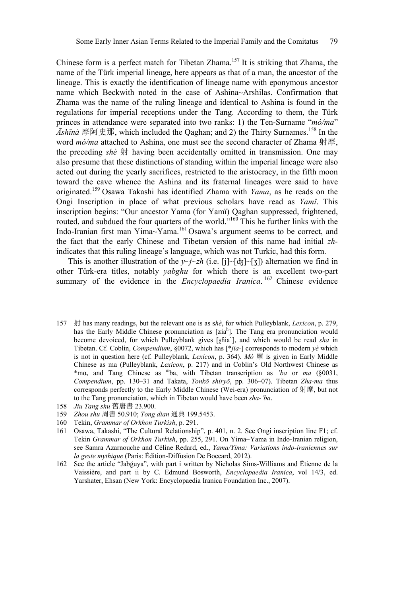Chinese form is a perfect match for Tibetan Zhama.<sup>157</sup> It is striking that Zhama, the name of the Türk imperial lineage, here appears as that of a man, the ancestor of the lineage. This is exactly the identification of lineage name with eponymous ancestor name which Beckwith noted in the case of Ashina~Arshilas. Confirmation that Zhama was the name of the ruling lineage and identical to Ashina is found in the regulations for imperial receptions under the Tang. According to them, the Türk princes in attendance were separated into two ranks: 1) the Ten-Surname "*mó/ma*"  $\overline{A}$ *shǐnà* 摩阿史那, which included the Qaghan; and 2) the Thirty Surnames.<sup>158</sup> In the word *mó/ma* attached to Ashina, one must see the second character of Zhama 射摩, the preceding *shè* 射 having been accidentally omitted in transmission. One may also presume that these distinctions of standing within the imperial lineage were also acted out during the yearly sacrifices, restricted to the aristocracy, in the fifth moon toward the cave whence the Ashina and its fraternal lineages were said to have originated.159 Osawa Takashi has identified Zhama with *Yama*, as he reads on the Ongi Inscription in place of what previous scholars have read as *Yamï*. This inscription begins: "Our ancestor Yama (for Yamï) Qaghan suppressed, frightened, routed, and subdued the four quarters of the world."<sup>160</sup> This he further links with the Indo-Iranian first man Yima~Yama.<sup>161</sup> Osawa's argument seems to be correct, and the fact that the early Chinese and Tibetan version of this name had initial *zh*indicates that this ruling lineage's language, which was not Turkic, had this form.

This is another illustration of the  $y \sim i \sim zh$  (i.e. [i] \[cf] \[5]) alternation we find in other Türk-era titles, notably *yabghu* for which there is an excellent two-part summary of the evidence in the *Encyclopaedia Iranica*. <sup>162</sup> Chinese evidence

<sup>157</sup> 射 has many readings, but the relevant one is as s*hè*, for which Pulleyblank, *Lexicon*, p. 279, has the Early Middle Chinese pronunciation as [zia<sup>h</sup>]. The Tang era pronunciation would become devoiced, for which Pulleyblank gives [ʂɦia`], and which would be read *sha* in Tibetan. Cf. Coblin, *Compendium*, §0072, which has [\**jia-*] corresponds to modern *yè* which is not in question here (cf. Pulleyblank, *Lexicon*, p. 364). *Mó* 摩 is given in Early Middle Chinese as ma (Pulleyblank, *Lexicon*, p. 217) and in Coblin's Old Northwest Chinese as \*mɑ, and Tang Chinese as mba, with Tibetan transcription as *'ba* or *ma* (§0031, *Compendium*, pp. 130–31 and Takata, *Tonkō shiryō*, pp. 306–07). Tibetan *Zha-ma* thus corresponds perfectly to the Early Middle Chinese (Wei-era) pronunciation of 射摩, but not to the Tang pronunciation, which in Tibetan would have been *sha-'ba*.

<sup>158</sup> *Jiu Tang shu* 舊唐書 23.900.

<sup>159</sup> *Zhou shu* 周書 50.910; *Tong dian* 通典 199.5453.

<sup>160</sup> Tekin, *Grammar of Orkhon Turkish*, p. 291.

<sup>161</sup> Osawa, Takashi, "The Cultural Relationship", p. 401, n. 2. See Ongi inscription line F1; cf. Tekin *Grammar of Orkhon Turkish*, pp. 255, 291. On Yima~Yama in Indo-Iranian religion, see Samra Azarnouche and Céline Redard, ed., *Yama/Yima: Variations indo-iraniennes sur la geste mythique* (Paris: Édition-Diffusion De Boccard, 2012).

<sup>162</sup> See the article "Jabğuya", with part i written by Nicholas Sims-Williams and Étienne de la Vaissière, and part ii by C. Edmund Bosworth, *Encyclopaedia Iranica*, vol 14/3, ed. Yarshater, Ehsan (New York: Encyclopaedia Iranica Foundation Inc., 2007).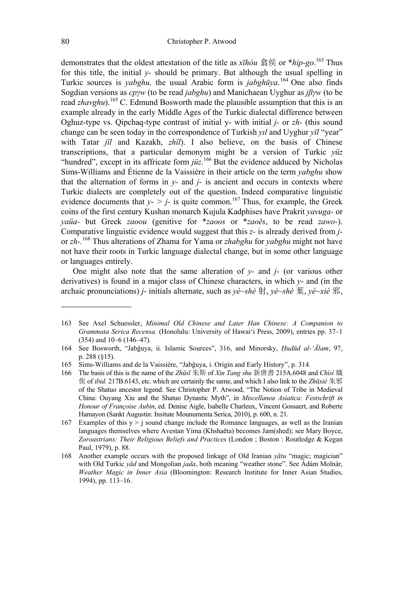demonstrates that the oldest attestation of the title as *xīhóu* 翕侯 or \**hip-go*. 163 Thus for this title, the initial *y-* should be primary. But although the usual spelling in Turkic sources is *yabghu,* the usual Arabic form is *jabghūya*. 164 One also finds Sogdian versions as *cpγw* (to be read *jabghu*) and Manichaean Uyghur as *jβγw* (to be read *zhavghu*).165 C. Edmund Bosworth made the plausible assumption that this is an example already in the early Middle Ages of the Turkic dialectal difference between Oghuz-type vs. Qipchaq-type contrast of initial y- with initial *j-* or *zh-* (this sound change can be seen today in the correspondence of Turkish *yıl* and Uyghur *yïl* "year" with Tatar *jïl* and Kazakh, *zhïl*). I also believe, on the basis of Chinese transcriptions, that a particular demonym might be a version of Turkic *yüz*  "hundred", except in its affricate form *jüz*.<sup>166</sup> But the evidence adduced by Nicholas Sims-Williams and Étienne de la Vaissière in their article on the term *yabghu* show that the alternation of forms in *y-* and *j-* is ancient and occurs in contexts where Turkic dialects are completely out of the question. Indeed comparative linguistic evidence documents that  $y > j$ - is quite common.<sup>167</sup> Thus, for example, the Greek coins of the first century Kushan monarch Kujula Kadphises have Prakrit *yavuga-* or *yaüa-* but Greek *zaoou* (genitive for \**zaoos* or \**zaoēs*, to be read *zawo-*). Comparative linguistic evidence would suggest that this *z-* is already derived from *j*or *zh-.*<sup>168</sup> Thus alterations of Zhama for Yama or *zhabghu* for *yabghu* might not have not have their roots in Turkic language dialectal change, but in some other language or languages entirely.

One might also note that the same alteration of *y-* and *j-* (or various other derivatives) is found in a major class of Chinese characters, in which *y*- and (in the archaic pronunciations) *j*- initials alternate, such as *yè~shè* 射, *yè~shè* 葉, *yé~xié* 邪,

<sup>163</sup> See Axel Schuessler, *Minimal Old Chinese and Later Han Chinese: A Companion to Grammata Serica Recensa.* (Honolulu: University of Hawai'i Press, 2009), entries pp. 37–1 (354) and 10–6 (146–47).

<sup>164</sup> See Bosworth, "Jabğuya, ii. Islamic Sources", 316, and Minorsky, *Ḥudūd al-'Ālam*, 97, p. 288 (§15).

<sup>165</sup> Sims-Williams and de la Vaissière, "Jabğuya, i. Origin and Early History", p. 314.

<sup>166</sup> The basis of this is the name of the *Zhūsī* 朱斯 of *Xin Tang shu* 新唐書 215A.6048 and *Chìsì* 熾 俟 of *ibid.* 217B.6143, etc. which are certainly the same, and which I also link to the *Zhūxié* 朱邪 of the Shatuo ancestor legend. See Christopher P. Atwood, "The Notion of Tribe in Medieval China: Ouyang Xiu and the Shatuo Dynastic Myth", in *Miscellanea Asiatica: Festschrift in Honour of Françoise Aubin*, ed. Denise Aigle, Isabelle Charleux, Vincent Gossaert, and Roberte Hamayon (Sankt Augustin: Insitute Mounumenta Serica, 2010), p. 600, n. 21.

<sup>167</sup> Examples of this  $y > j$  sound change include the Romance languages, as well as the Iranian languages themselves where Avestan Yima (Khshaēta) becomes Jam(shed); see Mary Boyce, *Zoroastrians: Their Religious Beliefs and Practices* (London ; Boston : Routledge & Kegan Paul, 1979), p. 88.

<sup>168</sup> Another example occurs with the proposed linkage of Old Iranian *yātu* "magic; magician" with Old Turkic *yād* and Mongolian *jada*, both meaning "weather stone". See Ádám Molnár, *Weather Magic in Inner Asia* (Bloomington: Research Institute for Inner Asian Studies, 1994), pp. 113–16.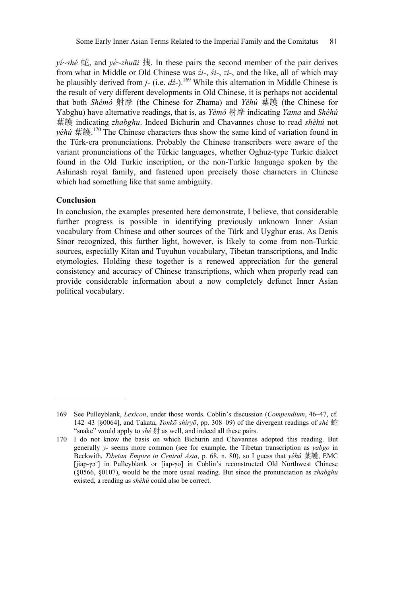*yí~shé* 蛇, and *yè~zhuāi* 拽. In these pairs the second member of the pair derives from what in Middle or Old Chinese was *źi*-, *śi*-, *zi-*, and the like, all of which may be plausibly derived from *j-* (i.e. *dź-*).169 While this alternation in Middle Chinese is the result of very different developments in Old Chinese, it is perhaps not accidental that both *Shèmó* 射摩 (the Chinese for Zhama) and *Yèhú* 葉護 (the Chinese for Yabghu) have alternative readings, that is, as *Yèmó* 射摩 indicating *Yama* and *Shèhú*  葉護 indicating *zhabghu*. Indeed Bichurin and Chavannes chose to read *shèhú* not *yèhú* 葉護. 170 The Chinese characters thus show the same kind of variation found in the Türk-era pronunciations. Probably the Chinese transcribers were aware of the variant pronunciations of the Türkic languages, whether Oghuz-type Turkic dialect found in the Old Turkic inscription, or the non-Turkic language spoken by the Ashinash royal family, and fastened upon precisely those characters in Chinese which had something like that same ambiguity.

#### **Conclusion**

In conclusion, the examples presented here demonstrate, I believe, that considerable further progress is possible in identifying previously unknown Inner Asian vocabulary from Chinese and other sources of the Türk and Uyghur eras. As Denis Sinor recognized, this further light, however, is likely to come from non-Turkic sources, especially Kitan and Tuyuhun vocabulary, Tibetan transcriptions, and Indic etymologies. Holding these together is a renewed appreciation for the general consistency and accuracy of Chinese transcriptions, which when properly read can provide considerable information about a now completely defunct Inner Asian political vocabulary.

<sup>169</sup> See Pulleyblank, *Lexicon*, under those words. Coblin's discussion (*Compendium*, 46–47, cf. 142–43 [§0064], and Takata, *Tonkō shiryō*, pp. 308–09) of the divergent readings of *shé* 蛇 "snake" would apply to *shè* 射 as well, and indeed all these pairs.

<sup>170</sup> I do not know the basis on which Bichurin and Chavannes adopted this reading. But generally *y-* seems more common (see for example, the Tibetan transcription as *yabgo* in Beckwith, *Tibetan Empire in Central Asia*, p. 68, n. 80), so I guess that *yèhú* 葉護, EMC [jiap-γɔ<sup>h</sup>] in Pulleyblank or [iap-γo] in Coblin's reconstructed Old Northwest Chinese (§0566, §0107), would be the more usual reading. But since the pronunciation as *zhabghu*  existed, a reading as *shèhú* could also be correct.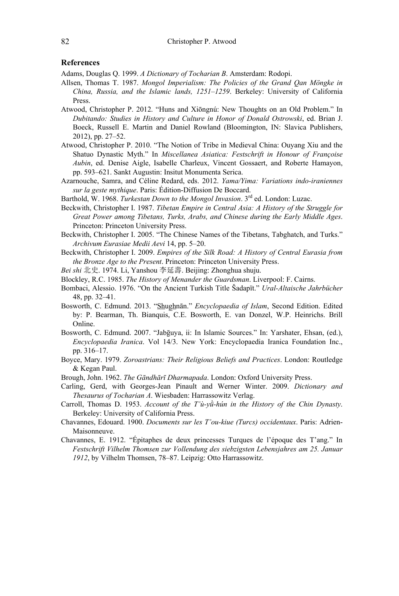#### **References**

Adams, Douglas Q. 1999. *A Dictionary of Tocharian B*. Amsterdam: Rodopi.

- Allsen, Thomas T. 1987. *Mongol Imperialism: The Policies of the Grand Qan Möngke in China, Russia, and the Islamic lands, 1251–1259*. Berkeley: University of California Press.
- Atwood, Christopher P. 2012. "Huns and Xiōngnú: New Thoughts on an Old Problem." In *Dubitando: Studies in History and Culture in Honor of Donald Ostrowski*, ed. Brian J. Boeck, Russell E. Martin and Daniel Rowland (Bloomington, IN: Slavica Publishers, 2012), pp. 27–52.
- Atwood, Christopher P. 2010. "The Notion of Tribe in Medieval China: Ouyang Xiu and the Shatuo Dynastic Myth." In *Miscellanea Asiatica: Festschrift in Honour of Françoise Aubin*, ed. Denise Aigle, Isabelle Charleux, Vincent Gossaert, and Roberte Hamayon, pp. 593–621. Sankt Augustin: Insitut Monumenta Serica.
- Azarnouche, Samra, and Céline Redard, eds. 2012. *Yama/Yima: Variations indo-iraniennes sur la geste mythique*. Paris: Édition-Diffusion De Boccard.
- Barthold, W. 1968. *Turkestan Down to the Mongol Invasion*. 3rd ed. London: Luzac.
- Beckwith, Christopher I. 1987. *Tibetan Empire in Central Asia: A History of the Struggle for Great Power among Tibetans, Turks, Arabs, and Chinese during the Early Middle Ages*. Princeton: Princeton University Press.
- Beckwith, Christopher I. 2005. "The Chinese Names of the Tibetans, Tabghatch, and Turks." *Archivum Eurasiae Medii Aevi* 14, pp. 5–20.
- Beckwith, Christopher I. 2009. *Empires of the Silk Road: A History of Central Eurasia from the Bronze Age to the Present*. Princeton: Princeton University Press.
- *Bei shi* 北史. 1974. Li, Yanshou 李延壽. Beijing: Zhonghua shuju.
- Blockley, R.C. 1985. *The History of Menander the Guardsman*. Liverpool: F. Cairns.
- Bombaci, Alessio. 1976. "On the Ancient Turkish Title Šadapït." *Ural-Altaische Jahrbücher* 48, pp. 32–41.
- Bosworth, C. Edmund. 2013. "S̲h̲ug̲h̲nān." *Encyclopaedia of Islam*, Second Edition. Edited by: P. Bearman, Th. Bianquis, C.E. Bosworth, E. van Donzel, W.P. Heinrichs. Brill Online.
- Bosworth, C. Edmund. 2007. "Jabḡuya, ii: In Islamic Sources." In: Yarshater, Ehsan, (ed.), *Encyclopaedia Iranica*. Vol 14/3. New York: Encyclopaedia Iranica Foundation Inc., pp. 316–17.
- Boyce, Mary. 1979. *Zoroastrians: Their Religious Beliefs and Practices*. London: Routledge & Kegan Paul.
- Brough, John. 1962. *The Gāndhārī Dharmapada*. London: Oxford University Press.
- Carling, Gerd, with Georges-Jean Pinault and Werner Winter. 2009. *Dictionary and Thesaurus of Tocharian A*. Wiesbaden: Harrassowitz Verlag.
- Carroll, Thomas D. 1953. *Account of the T'ù-yǜ-hún in the History of the Chin Dynasty*. Berkeley: University of California Press.
- Chavannes, Edouard. 1900. *Documents sur les T'ou-kiue (Turcs) occidentaux*. Paris: Adrien-Maisonneuve.
- Chavannes, E. 1912. "Épitaphes de deux princesses Turques de l'époque des T'ang." In *Festschrift Vilhelm Thomsen zur Vollendung des siebzigsten Lebensjahres am 25. Januar 1912*, by Vilhelm Thomsen, 78–87. Leipzig: Otto Harrassowitz.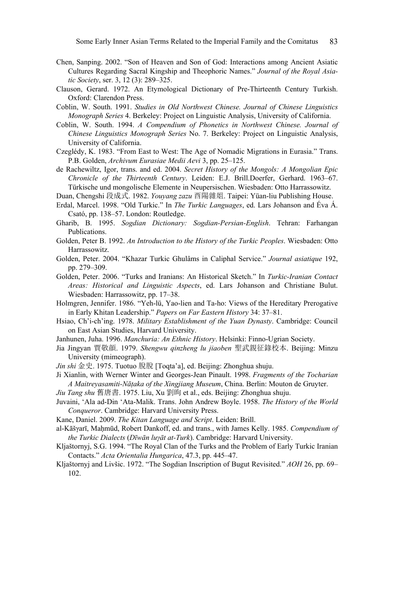- Chen, Sanping. 2002. "Son of Heaven and Son of God: Interactions among Ancient Asiatic Cultures Regarding Sacral Kingship and Theophoric Names." *Journal of the Royal Asiatic Society*, ser. 3, 12 (3): 289–325.
- Clauson, Gerard. 1972. An Etymological Dictionary of Pre-Thirteenth Century Turkish. Oxford: Clarendon Press.
- Coblin, W. South. 1991. *Studies in Old Northwest Chinese. Journal of Chinese Linguistics Monograph Series* 4. Berkeley: Project on Linguistic Analysis, University of California.
- Coblin, W. South. 1994. *A Compendium of Phonetics in Northwest Chinese. Journal of Chinese Linguistics Monograph Series* No. 7. Berkeley: Project on Linguistic Analysis, University of California.
- Czeglédy, K. 1983. "From East to West: The Age of Nomadic Migrations in Eurasia." Trans. P.B. Golden, *Archivum Eurasiae Medii Aevi* 3, pp. 25–125.
- de Rachewiltz, Igor, trans. and ed. 2004. *Secret History of the Mongols: A Mongolian Epic Chronicle of the Thirteenth Century*. Leiden: E.J. Brill.Doerfer, Gerhard. 1963–67. Türkische und mongolische Elemente in Neupersischen. Wiesbaden: Otto Harrassowitz.
- Duan, Chengshi 段成式. 1982. *Youyang zazu* 酉陽雜俎. Taipei: Yüan-liu Publishing House.
- Erdal, Marcel. 1998. "Old Turkic." In *The Turkic Languages*, ed. Lars Johanson and Éva Á. Csató, pp. 138–57. London: Routledge.
- Gharib, B. 1995. *Sogdian Dictionary: Sogdian-Persian-English*. Tehran: Farhangan Publications.
- Golden, Peter B. 1992. *An Introduction to the History of the Turkic Peoples*. Wiesbaden: Otto Harrassowitz.
- Golden, Peter. 2004. "Khazar Turkic Ghulâms in Caliphal Service." *Journal asiatique* 192, pp. 279–309.
- Golden, Peter. 2006. "Turks and Iranians: An Historical Sketch." In *Turkic-Iranian Contact Areas: Historical and Linguistic Aspects*, ed. Lars Johanson and Christiane Bulut. Wiesbaden: Harrassowitz, pp. 17–38.
- Holmgren, Jennifer. 1986. "Yeh-lü, Yao-lien and Ta-ho: Views of the Hereditary Prerogative in Early Khitan Leadership." *Papers on Far Eastern History* 34: 37–81.
- Hsiao, Ch'i-ch'ing. 1978. *Military Establishment of the Yuan Dynasty*. Cambridge: Council on East Asian Studies, Harvard University.
- Janhunen, Juha. 1996. *Manchuria: An Ethnic History*. Helsinki: Finno-Ugrian Society.
- Jia Jingyan 賈敬顔. 1979. *Shengwu qinzheng lu jiaoben* 聖武親征錄校本. Beijing: Minzu University (mimeograph).
- *Jin shi* 金史. 1975. Tuotuo 脫脫 [Toqta'a], ed. Beijing: Zhonghua shuju.
- Ji Xianlin, with Werner Winter and Georges-Jean Pinault. 1998. *Fragments of the Tocharian A Maitreyasamiti-Nāṭaka of the Xingjiang Museum*, China. Berlin: Mouton de Gruyter.
- *Jiu Tang shu* 舊唐書. 1975. Liu, Xu 劉昫 et al., eds. Beijing: Zhonghua shuju.
- Juvaini, 'Ala ad-Din 'Ata-Malik. Trans. John Andrew Boyle. 1958. *The History of the World Conqueror*. Cambridge: Harvard University Press.
- Kane, Daniel. 2009. *The Kitan Language and Script*. Leiden: Brill.
- al-Kāšγarī, Maḥmūd, Robert Dankoff, ed. and trans., with James Kelly. 1985. *Compendium of the Turkic Dialects* (*Dīwān luγāt at-Turk*). Cambridge: Harvard University.
- Kljaštornyj, S.G. 1994. "The Royal Clan of the Turks and the Problem of Early Turkic Iranian Contacts." *Acta Orientalia Hungarica*, 47.3, pp. 445–47.
- Kljaštornyj and Livšic. 1972. "The Sogdian Inscription of Bugut Revisited." *AOH* 26, pp. 69– 102.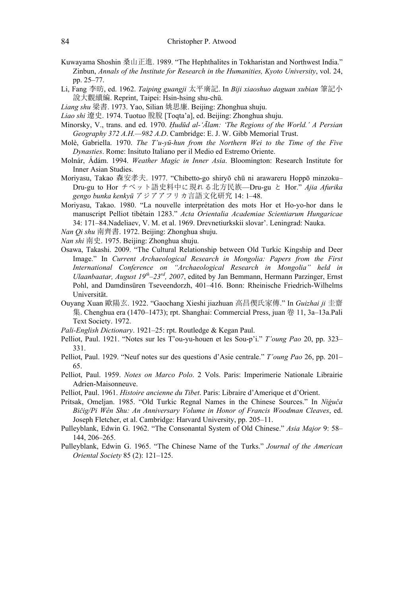- Kuwayama Shoshin 桑山正進. 1989. "The Hephthalites in Tokharistan and Northwest India." Zinbun, *Annals of the Institute for Research in the Humanities, Kyoto University*, vol. 24, pp. 25–77.
- Li, Fang 李昉, ed. 1962. *Taiping guangji* 太平廣記. In *Biji xiaoshuo daguan xubian* 筆記小 說大觀續編. Reprint, Taipei: Hsin-hsing shu-chü.
- *Liang shu* 梁書. 1973. Yao, Silian 姚思廉. Beijing: Zhonghua shuju.
- *Liao shi* 遼史. 1974. Tuotuo 脫脫 [Toqta'a], ed. Beijing: Zhonghua shuju.
- Minorsky, V., trans. and ed. 1970. *Ḥudūd al-'Ālam: 'The Regions of the World.' A Persian Geography 372 A.H.—982 A.D*. Cambridge: E. J. W. Gibb Memorial Trust.
- Molè, Gabriella. 1970. *The T'u-yü-hun from the Northern Wei to the Time of the Five Dynasties*. Rome: Insituto Italiano per il Medio ed Estremo Oriente.
- Molnár, Ádám. 1994. *Weather Magic in Inner Asia*. Bloomington: Research Institute for Inner Asian Studies.
- Moriyasu, Takao 森安孝夫. 1977. "Chibetto-go shiryō chū ni arawareru Hoppō minzoku– Dru-gu to Hor チベット語史料中に現れる北方民族—Dru-gu と Hor." *Ajia Afurika gengo bunka kenkyū* アジアアフリカ言語文化研究 14: 1–48.
- Moriyasu, Takao. 1980. "La nouvelle interprétation des mots Hor et Ho-yo-hor dans le manuscript Pelliot tibétain 1283." *Acta Orientalia Academiae Scientiarum Hungaricae* 34: 171–84.Nadeliaev, V. M. et al. 1969. Drevnetiurkskii slovar'. Leningrad: Nauka.
- *Nan Qi shu* 南齊書. 1972. Beijing: Zhonghua shuju.
- *Nan shi* 南史. 1975. Beijing: Zhonghua shuju.
- Osawa, Takashi. 2009. "The Cultural Relationship between Old Turkic Kingship and Deer Image." In *Current Archaeological Research in Mongolia: Papers from the First International Conference on "Archaeological Research in Mongolia" held in Ulaanbaatar, August 19th–23rd, 2007*, edited by Jan Bemmann, Hermann Parzinger, Ernst Pohl, and Damdinsüren Tseveendorzh, 401–416. Bonn: Rheinische Friedrich-Wilhelms Universität.
- Ouyang Xuan 歐陽玄. 1922. "Gaochang Xieshi jiazhuan 高昌偰氏家傳." In *Guizhai ji* 圭齋 集. Chenghua era (1470–1473); rpt. Shanghai: Commercial Press, juan 卷 11, 3a–13a.Pali Text Society. 1972.
- *Pali-English Dictionary*. 1921–25: rpt. Routledge & Kegan Paul.
- Pelliot, Paul. 1921. "Notes sur les T'ou-yu-houen et les Sou-p'i." *T'oung Pao* 20, pp. 323– 331.
- Pelliot, Paul. 1929. "Neuf notes sur des questions d'Asie centrale." *T'oung Pao* 26, pp. 201– 65.
- Pelliot, Paul. 1959. *Notes on Marco Polo*. 2 Vols. Paris: Imperimerie Nationale Librairie Adrien-Maisonneuve.
- Pelliot, Paul. 1961. *Histoire ancienne du Tibet*. Paris: Libraire d'Amerique et d'Orient.
- Pritsak, Omeljan. 1985. "Old Turkic Regnal Names in the Chinese Sources." In *Niġuča Bičig/Pi Wên Shu: An Anniversary Volume in Honor of Francis Woodman Cleaves*, ed. Joseph Fletcher, et al. Cambridge: Harvard University, pp. 205–11.
- Pulleyblank, Edwin G. 1962. "The Consonantal System of Old Chinese." *Asia Major* 9: 58– 144, 206–265.
- Pulleyblank, Edwin G. 1965. "The Chinese Name of the Turks." *Journal of the American Oriental Society* 85 (2): 121–125.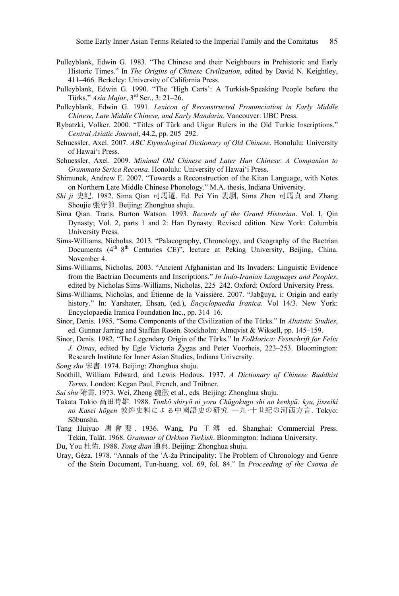- Pulleyblank, Edwin G. 1983. "The Chinese and their Neighbours in Prehistoric and Early Historic Times." In *The Origins of Chinese Civilization*, edited by David N. Keightley, 411–466. Berkeley: University of California Press.
- Pulleyblank, Edwin G. 1990. "The 'High Carts': A Turkish-Speaking People before the Türks." *Asia Major*, 3rd Ser., 3: 21–26.
- Pulleyblank, Edwin G. 1991. *Lexicon of Reconstructed Pronunciation in Early Middle Chinese, Late Middle Chinese, and Early Mandarin*. Vancouver: UBC Press.
- Rybatzki, Volker. 2000. "Titles of Türk and Uigur Rulers in the Old Turkic Inscriptions." *Central Asiatic Journal*, 44.2, pp. 205–292.
- Schuessler, Axel. 2007. *ABC Etymological Dictionary of Old Chinese*. Honolulu: University of Hawai'i Press.
- Schuessler, Axel. 2009. *Minimal Old Chinese and Later Han Chinese*: *A Companion to Grammata Serica Recensa*. Honolulu: University of Hawai'i Press.
- Shimunek, Andrew E. 2007. "Towards a Reconstruction of the Kitan Language, with Notes on Northern Late Middle Chinese Phonology." M.A. thesis, Indiana University.
- *Shi ji* 史記. 1982. Sima Qian 司馬遷. Ed. Pei Yin 裴駰, Sima Zhen 司馬貞 and Zhang Shoujie 張守節. Beijing: Zhonghua shuju.
- Sima Qian. Trans. Burton Watson. 1993. *Records of the Grand Historian*. Vol. I, Qin Dynasty; Vol. 2, parts 1 and 2: Han Dynasty. Revised edition. New York: Columbia University Press.
- Sims-Williams, Nicholas. 2013. "Palaeography, Chronology, and Geography of the Bactrian Documents  $(4<sup>th</sup>-8<sup>th</sup>$  Centuries CE)", lecture at Peking University, Beijing, China. November 4.
- Sims-Williams, Nicholas. 2003. "Ancient Afghanistan and Its Invaders: Linguistic Evidence from the Bactrian Documents and Inscriptions." *In Indo-Iranian Languages and Peoples*, edited by Nicholas Sims-Williams, Nicholas, 225–242. Oxford: Oxford University Press.
- Sims-Williams, Nicholas, and Étienne de la Vaissière. 2007. "Jabḡuya, i: Origin and early history." In: Yarshater, Ehsan, (ed.), *Encyclopaedia Iranica*. Vol 14/3. New York: Encyclopaedia Iranica Foundation Inc., pp. 314–16.
- Sinor, Denis. 1985. "Some Components of the Civilization of the Türks." In *Altaistic Studies*, ed. Gunnar Jarring and Staffan Rosén. Stockholm: Almqvist & Wiksell, pp. 145–159.
- Sinor, Denis. 1982. "The Legendary Origin of the Türks." In *Folklorica: Festschrift for Felix J. Oinas*, edited by Egle Victoria Žygas and Peter Voorheis, 223–253. Bloomington: Research Institute for Inner Asian Studies, Indiana University.
- *Song shu* 宋書. 1974. Beijing: Zhonghua shuju.
- Soothill, William Edward, and Lewis Hodous. 1937. *A Dictionary of Chinese Buddhist Terms*. London: Kegan Paul, French, and Trübner.
- *Sui shu* 隋書. 1973. Wei, Zheng 魏徵 et al., eds. Beijing: Zhonghua shuju.
- Takata Tokio 高田時雄. 1988. *Tonkō shiryō ni yoru Chūgokugo shi no kenkyū: kyu, jisseiki no Kasei hōgen* 敦煌史料による中國語史の研究 —九·十世紀の河西方言. Tokyo: Sōbunsha.
- Tang Huiyao 唐會要 . 1936. Wang, Pu 王 溥 ed. Shanghai: Commercial Press. Tekin, Talât. 1968. *Grammar of Orkhon Turkish*. Bloomington: Indiana University.

Du, You 杜佑. 1988. *Tong dian* 通典. Beijing: Zhonghua shuju.

Uray, Géza. 1978. "Annals of the 'A-ža Principality: The Problem of Chronology and Genre of the Stein Document, Tun-huang, vol. 69, fol. 84." In *Proceeding of the Csoma de*